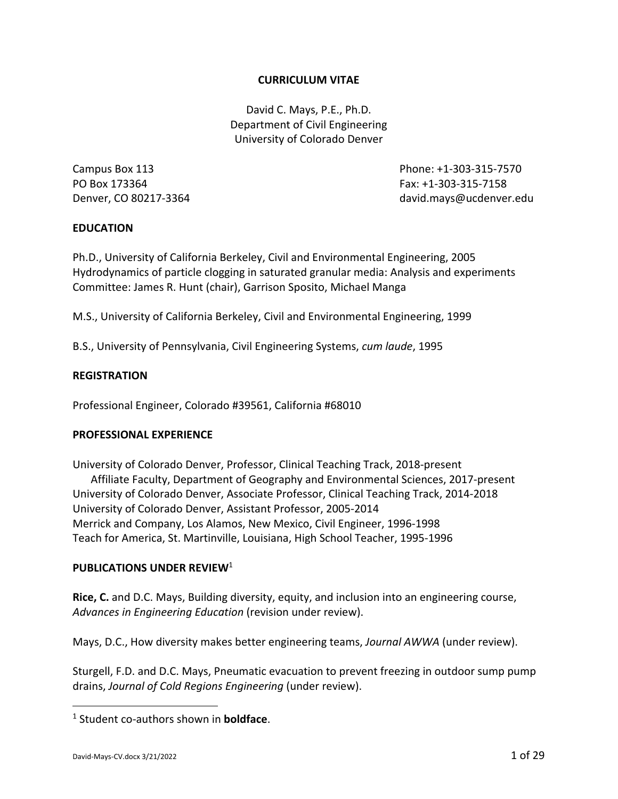## **CURRICULUM VITAE**

David C. Mays, P.E., Ph.D. Department of Civil Engineering University of Colorado Denver

PO Box 173364 Fax: +1‐303‐315‐7158

Campus Box 113 Phone: +1‐303‐315‐7570 Denver, CO 80217‐3364 david.mays@ucdenver.edu

### **EDUCATION**

Ph.D., University of California Berkeley, Civil and Environmental Engineering, 2005 Hydrodynamics of particle clogging in saturated granular media: Analysis and experiments Committee: James R. Hunt (chair), Garrison Sposito, Michael Manga

M.S., University of California Berkeley, Civil and Environmental Engineering, 1999

B.S., University of Pennsylvania, Civil Engineering Systems, *cum laude*, 1995

#### **REGISTRATION**

Professional Engineer, Colorado #39561, California #68010

#### **PROFESSIONAL EXPERIENCE**

University of Colorado Denver, Professor, Clinical Teaching Track, 2018‐present Affiliate Faculty, Department of Geography and Environmental Sciences, 2017‐present University of Colorado Denver, Associate Professor, Clinical Teaching Track, 2014‐2018 University of Colorado Denver, Assistant Professor, 2005‐2014 Merrick and Company, Los Alamos, New Mexico, Civil Engineer, 1996‐1998 Teach for America, St. Martinville, Louisiana, High School Teacher, 1995‐1996

## **PUBLICATIONS UNDER REVIEW**<sup>1</sup>

**Rice, C.** and D.C. Mays, Building diversity, equity, and inclusion into an engineering course, *Advances in Engineering Education* (revision under review).

Mays, D.C., How diversity makes better engineering teams, *Journal AWWA* (under review).

Sturgell, F.D. and D.C. Mays, Pneumatic evacuation to prevent freezing in outdoor sump pump drains, *Journal of Cold Regions Engineering* (under review).

<sup>1</sup> Student co‐authors shown in **boldface**.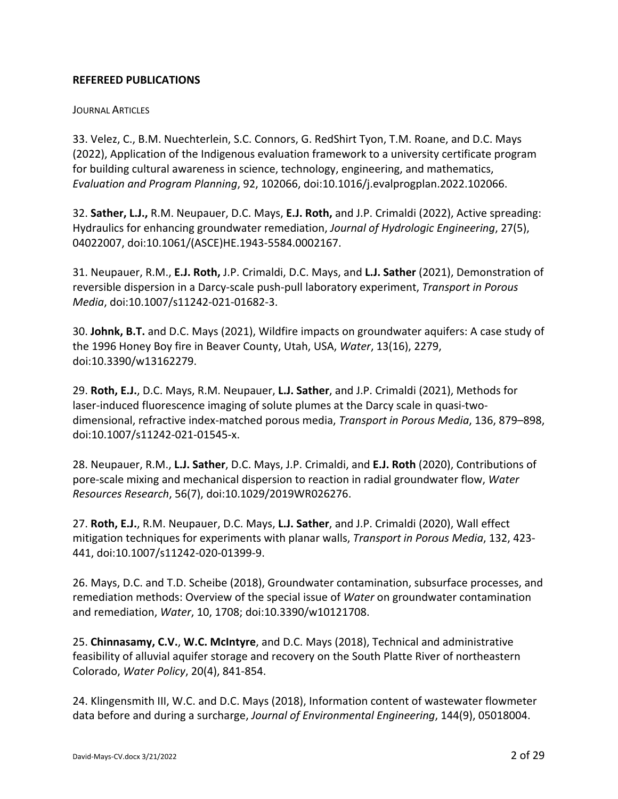## **REFEREED PUBLICATIONS**

## **JOURNAL ARTICLES**

33. Velez, C., B.M. Nuechterlein, S.C. Connors, G. RedShirt Tyon, T.M. Roane, and D.C. Mays (2022), Application of the Indigenous evaluation framework to a university certificate program for building cultural awareness in science, technology, engineering, and mathematics, *Evaluation and Program Planning*, 92, 102066, doi:10.1016/j.evalprogplan.2022.102066.

32. **Sather, L.J.,** R.M. Neupauer, D.C. Mays, **E.J. Roth,** and J.P. Crimaldi (2022), Active spreading: Hydraulics for enhancing groundwater remediation, *Journal of Hydrologic Engineering*, 27(5), 04022007, doi:10.1061/(ASCE)HE.1943‐5584.0002167.

31. Neupauer, R.M., **E.J. Roth,** J.P. Crimaldi, D.C. Mays, and **L.J. Sather** (2021), Demonstration of reversible dispersion in a Darcy‐scale push‐pull laboratory experiment, *Transport in Porous Media*, doi:10.1007/s11242‐021‐01682‐3.

30. **Johnk, B.T.** and D.C. Mays (2021), Wildfire impacts on groundwater aquifers: A case study of the 1996 Honey Boy fire in Beaver County, Utah, USA, *Water*, 13(16), 2279, doi:10.3390/w13162279.

29. **Roth, E.J.**, D.C. Mays, R.M. Neupauer, **L.J. Sather**, and J.P. Crimaldi (2021), Methods for laser-induced fluorescence imaging of solute plumes at the Darcy scale in quasi-twodimensional, refractive index‐matched porous media, *Transport in Porous Media*, 136, 879–898, doi:10.1007/s11242‐021‐01545‐x.

28. Neupauer, R.M., **L.J. Sather**, D.C. Mays, J.P. Crimaldi, and **E.J. Roth** (2020), Contributions of pore‐scale mixing and mechanical dispersion to reaction in radial groundwater flow, *Water Resources Research*, 56(7), doi:10.1029/2019WR026276.

27. **Roth, E.J.**, R.M. Neupauer, D.C. Mays, **L.J. Sather**, and J.P. Crimaldi (2020), Wall effect mitigation techniques for experiments with planar walls, *Transport in Porous Media*, 132, 423‐ 441, doi:10.1007/s11242‐020‐01399‐9.

26. Mays, D.C. and T.D. Scheibe (2018), Groundwater contamination, subsurface processes, and remediation methods: Overview of the special issue of *Water* on groundwater contamination and remediation, *Water*, 10, 1708; doi:10.3390/w10121708.

25. **Chinnasamy, C.V.**, **W.C. McIntyre**, and D.C. Mays (2018), Technical and administrative feasibility of alluvial aquifer storage and recovery on the South Platte River of northeastern Colorado, *Water Policy*, 20(4), 841‐854.

24. Klingensmith III, W.C. and D.C. Mays (2018), Information content of wastewater flowmeter data before and during a surcharge, *Journal of Environmental Engineering*, 144(9), 05018004.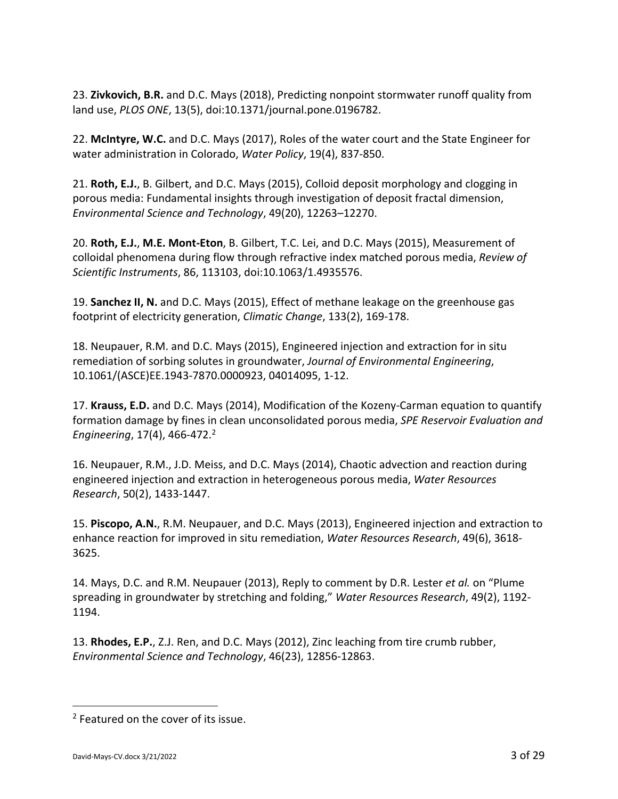23. **Zivkovich, B.R.** and D.C. Mays (2018), Predicting nonpoint stormwater runoff quality from land use, *PLOS ONE*, 13(5), doi:10.1371/journal.pone.0196782.

22. **McIntyre, W.C.** and D.C. Mays (2017), Roles of the water court and the State Engineer for water administration in Colorado, *Water Policy*, 19(4), 837‐850.

21. **Roth, E.J.**, B. Gilbert, and D.C. Mays (2015), Colloid deposit morphology and clogging in porous media: Fundamental insights through investigation of deposit fractal dimension, *Environmental Science and Technology*, 49(20), 12263–12270.

20. **Roth, E.J.**, **M.E. Mont‐Eton**, B. Gilbert, T.C. Lei, and D.C. Mays (2015), Measurement of colloidal phenomena during flow through refractive index matched porous media, *Review of Scientific Instruments*, 86, 113103, doi:10.1063/1.4935576.

19. **Sanchez II, N.** and D.C. Mays (2015), Effect of methane leakage on the greenhouse gas footprint of electricity generation, *Climatic Change*, 133(2), 169‐178.

18. Neupauer, R.M. and D.C. Mays (2015), Engineered injection and extraction for in situ remediation of sorbing solutes in groundwater, *Journal of Environmental Engineering*, 10.1061/(ASCE)EE.1943‐7870.0000923, 04014095, 1‐12.

17. **Krauss, E.D.** and D.C. Mays (2014), Modification of the Kozeny‐Carman equation to quantify formation damage by fines in clean unconsolidated porous media, *SPE Reservoir Evaluation and Engineering*, 17(4), 466‐472.2

16. Neupauer, R.M., J.D. Meiss, and D.C. Mays (2014), Chaotic advection and reaction during engineered injection and extraction in heterogeneous porous media, *Water Resources Research*, 50(2), 1433‐1447.

15. **Piscopo, A.N.**, R.M. Neupauer, and D.C. Mays (2013), Engineered injection and extraction to enhance reaction for improved in situ remediation, *Water Resources Research*, 49(6), 3618‐ 3625.

14. Mays, D.C. and R.M. Neupauer (2013), Reply to comment by D.R. Lester *et al.* on "Plume spreading in groundwater by stretching and folding," *Water Resources Research*, 49(2), 1192‐ 1194.

13. **Rhodes, E.P.**, Z.J. Ren, and D.C. Mays (2012), Zinc leaching from tire crumb rubber, *Environmental Science and Technology*, 46(23), 12856‐12863.

<sup>2</sup> Featured on the cover of its issue.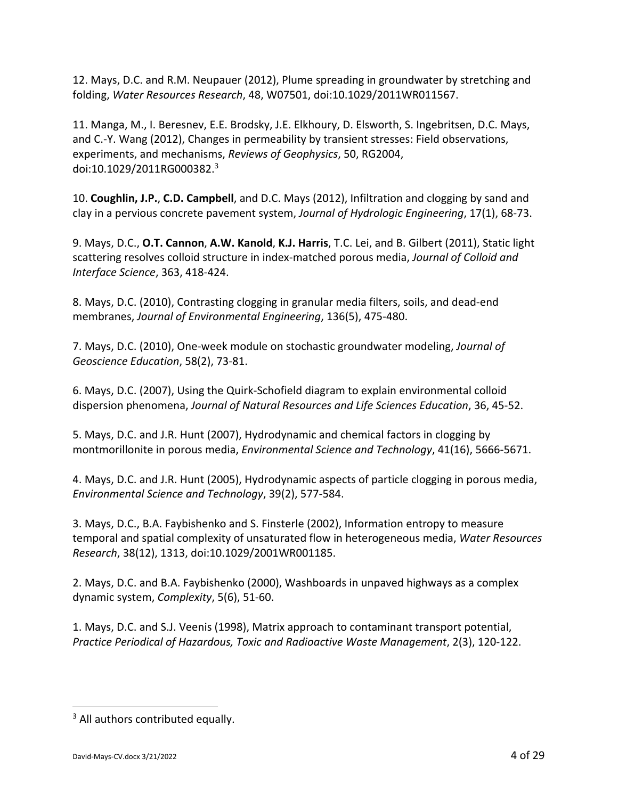12. Mays, D.C. and R.M. Neupauer (2012), Plume spreading in groundwater by stretching and folding, *Water Resources Research*, 48, W07501, doi:10.1029/2011WR011567.

11. Manga, M., I. Beresnev, E.E. Brodsky, J.E. Elkhoury, D. Elsworth, S. Ingebritsen, D.C. Mays, and C.‐Y. Wang (2012), Changes in permeability by transient stresses: Field observations, experiments, and mechanisms, *Reviews of Geophysics*, 50, RG2004, doi:10.1029/2011RG000382.3

10. **Coughlin, J.P.**, **C.D. Campbell**, and D.C. Mays (2012), Infiltration and clogging by sand and clay in a pervious concrete pavement system, *Journal of Hydrologic Engineering*, 17(1), 68‐73.

9. Mays, D.C., **O.T. Cannon**, **A.W. Kanold**, **K.J. Harris**, T.C. Lei, and B. Gilbert (2011), Static light scattering resolves colloid structure in index‐matched porous media, *Journal of Colloid and Interface Science*, 363, 418‐424.

8. Mays, D.C. (2010), Contrasting clogging in granular media filters, soils, and dead‐end membranes, *Journal of Environmental Engineering*, 136(5), 475‐480.

7. Mays, D.C. (2010), One‐week module on stochastic groundwater modeling, *Journal of Geoscience Education*, 58(2), 73‐81.

6. Mays, D.C. (2007), Using the Quirk‐Schofield diagram to explain environmental colloid dispersion phenomena, *Journal of Natural Resources and Life Sciences Education*, 36, 45‐52.

5. Mays, D.C. and J.R. Hunt (2007), Hydrodynamic and chemical factors in clogging by montmorillonite in porous media, *Environmental Science and Technology*, 41(16), 5666‐5671.

4. Mays, D.C. and J.R. Hunt (2005), Hydrodynamic aspects of particle clogging in porous media, *Environmental Science and Technology*, 39(2), 577‐584.

3. Mays, D.C., B.A. Faybishenko and S. Finsterle (2002), Information entropy to measure temporal and spatial complexity of unsaturated flow in heterogeneous media, *Water Resources Research*, 38(12), 1313, doi:10.1029/2001WR001185.

2. Mays, D.C. and B.A. Faybishenko (2000), Washboards in unpaved highways as a complex dynamic system, *Complexity*, 5(6), 51‐60.

1. Mays, D.C. and S.J. Veenis (1998), Matrix approach to contaminant transport potential, *Practice Periodical of Hazardous, Toxic and Radioactive Waste Management*, 2(3), 120‐122.

<sup>&</sup>lt;sup>3</sup> All authors contributed equally.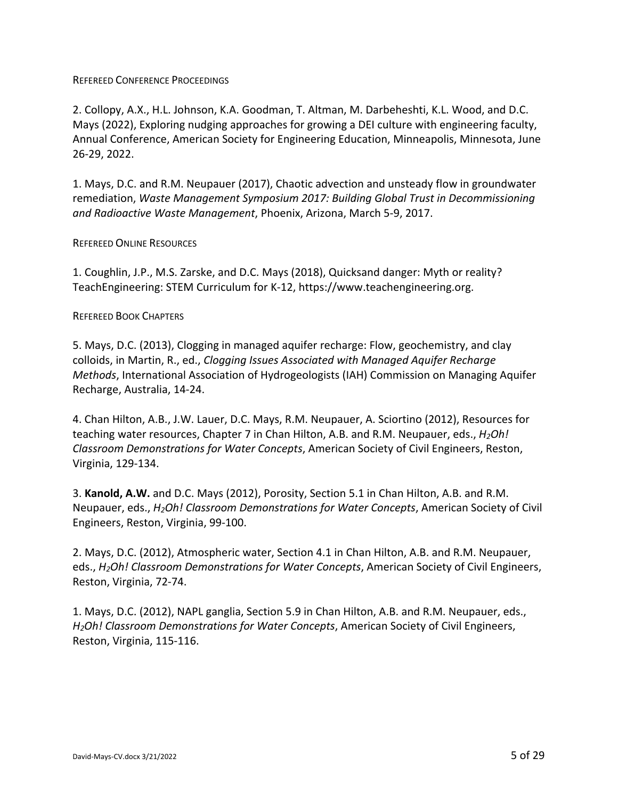### REFEREED CONFERENCE PROCEEDINGS

2. Collopy, A.X., H.L. Johnson, K.A. Goodman, T. Altman, M. Darbeheshti, K.L. Wood, and D.C. Mays (2022), Exploring nudging approaches for growing a DEI culture with engineering faculty, Annual Conference, American Society for Engineering Education, Minneapolis, Minnesota, June 26‐29, 2022.

1. Mays, D.C. and R.M. Neupauer (2017), Chaotic advection and unsteady flow in groundwater remediation, *Waste Management Symposium 2017: Building Global Trust in Decommissioning and Radioactive Waste Management*, Phoenix, Arizona, March 5‐9, 2017.

### REFEREED ONLINE RESOURCES

1. Coughlin, J.P., M.S. Zarske, and D.C. Mays (2018), Quicksand danger: Myth or reality? TeachEngineering: STEM Curriculum for K‐12, https://www.teachengineering.org.

### REFEREED BOOK CHAPTERS

5. Mays, D.C. (2013), Clogging in managed aquifer recharge: Flow, geochemistry, and clay colloids, in Martin, R., ed., *Clogging Issues Associated with Managed Aquifer Recharge Methods*, International Association of Hydrogeologists (IAH) Commission on Managing Aquifer Recharge, Australia, 14‐24.

4. Chan Hilton, A.B., J.W. Lauer, D.C. Mays, R.M. Neupauer, A. Sciortino (2012), Resources for teaching water resources, Chapter 7 in Chan Hilton, A.B. and R.M. Neupauer, eds., *H2Oh! Classroom Demonstrations for Water Concepts*, American Society of Civil Engineers, Reston, Virginia, 129‐134.

3. **Kanold, A.W.** and D.C. Mays (2012), Porosity, Section 5.1 in Chan Hilton, A.B. and R.M. Neupauer, eds., *H2Oh! Classroom Demonstrations for Water Concepts*, American Society of Civil Engineers, Reston, Virginia, 99‐100.

2. Mays, D.C. (2012), Atmospheric water, Section 4.1 in Chan Hilton, A.B. and R.M. Neupauer, eds., *H2Oh! Classroom Demonstrations for Water Concepts*, American Society of Civil Engineers, Reston, Virginia, 72‐74.

1. Mays, D.C. (2012), NAPL ganglia, Section 5.9 in Chan Hilton, A.B. and R.M. Neupauer, eds., *H2Oh! Classroom Demonstrations for Water Concepts*, American Society of Civil Engineers, Reston, Virginia, 115‐116.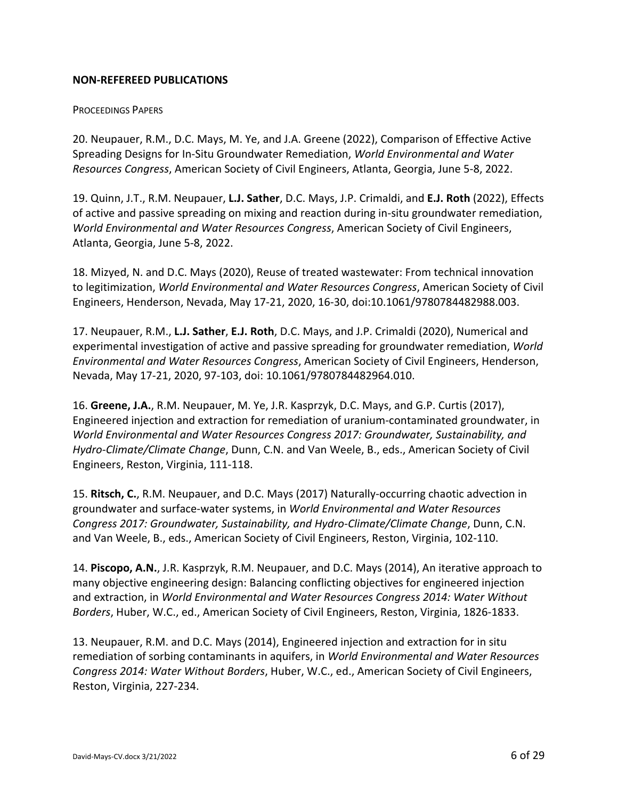## **NON‐REFEREED PUBLICATIONS**

#### PROCEEDINGS PAPERS

20. Neupauer, R.M., D.C. Mays, M. Ye, and J.A. Greene (2022), Comparison of Effective Active Spreading Designs for In‐Situ Groundwater Remediation, *World Environmental and Water Resources Congress*, American Society of Civil Engineers, Atlanta, Georgia, June 5‐8, 2022.

19. Quinn, J.T., R.M. Neupauer, **L.J. Sather**, D.C. Mays, J.P. Crimaldi, and **E.J. Roth** (2022), Effects of active and passive spreading on mixing and reaction during in‐situ groundwater remediation, *World Environmental and Water Resources Congress*, American Society of Civil Engineers, Atlanta, Georgia, June 5‐8, 2022.

18. Mizyed, N. and D.C. Mays (2020), Reuse of treated wastewater: From technical innovation to legitimization, *World Environmental and Water Resources Congress*, American Society of Civil Engineers, Henderson, Nevada, May 17‐21, 2020, 16‐30, doi:10.1061/9780784482988.003.

17. Neupauer, R.M., **L.J. Sather**, **E.J. Roth**, D.C. Mays, and J.P. Crimaldi (2020), Numerical and experimental investigation of active and passive spreading for groundwater remediation, *World Environmental and Water Resources Congress*, American Society of Civil Engineers, Henderson, Nevada, May 17‐21, 2020, 97‐103, doi: 10.1061/9780784482964.010.

16. **Greene, J.A.**, R.M. Neupauer, M. Ye, J.R. Kasprzyk, D.C. Mays, and G.P. Curtis (2017), Engineered injection and extraction for remediation of uranium‐contaminated groundwater, in *World Environmental and Water Resources Congress 2017: Groundwater, Sustainability, and Hydro‐Climate/Climate Change*, Dunn, C.N. and Van Weele, B., eds., American Society of Civil Engineers, Reston, Virginia, 111‐118.

15. **Ritsch, C.**, R.M. Neupauer, and D.C. Mays (2017) Naturally‐occurring chaotic advection in groundwater and surface‐water systems, in *World Environmental and Water Resources Congress 2017: Groundwater, Sustainability, and Hydro‐Climate/Climate Change*, Dunn, C.N. and Van Weele, B., eds., American Society of Civil Engineers, Reston, Virginia, 102‐110.

14. **Piscopo, A.N.**, J.R. Kasprzyk, R.M. Neupauer, and D.C. Mays (2014), An iterative approach to many objective engineering design: Balancing conflicting objectives for engineered injection and extraction, in *World Environmental and Water Resources Congress 2014: Water Without Borders*, Huber, W.C., ed., American Society of Civil Engineers, Reston, Virginia, 1826‐1833.

13. Neupauer, R.M. and D.C. Mays (2014), Engineered injection and extraction for in situ remediation of sorbing contaminants in aquifers, in *World Environmental and Water Resources Congress 2014: Water Without Borders*, Huber, W.C., ed., American Society of Civil Engineers, Reston, Virginia, 227‐234.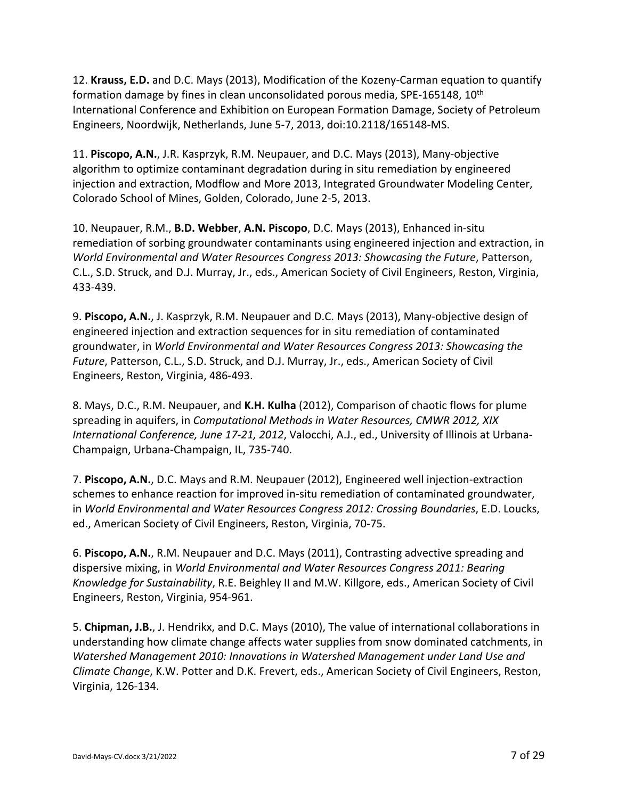12. **Krauss, E.D.** and D.C. Mays (2013), Modification of the Kozeny‐Carman equation to quantify formation damage by fines in clean unconsolidated porous media, SPE-165148, 10<sup>th</sup> International Conference and Exhibition on European Formation Damage, Society of Petroleum Engineers, Noordwijk, Netherlands, June 5‐7, 2013, doi:10.2118/165148‐MS.

11. **Piscopo, A.N.**, J.R. Kasprzyk, R.M. Neupauer, and D.C. Mays (2013), Many‐objective algorithm to optimize contaminant degradation during in situ remediation by engineered injection and extraction, Modflow and More 2013, Integrated Groundwater Modeling Center, Colorado School of Mines, Golden, Colorado, June 2‐5, 2013.

10. Neupauer, R.M., **B.D. Webber**, **A.N. Piscopo**, D.C. Mays (2013), Enhanced in‐situ remediation of sorbing groundwater contaminants using engineered injection and extraction, in *World Environmental and Water Resources Congress 2013: Showcasing the Future*, Patterson, C.L., S.D. Struck, and D.J. Murray, Jr., eds., American Society of Civil Engineers, Reston, Virginia, 433‐439.

9. **Piscopo, A.N.**, J. Kasprzyk, R.M. Neupauer and D.C. Mays (2013), Many‐objective design of engineered injection and extraction sequences for in situ remediation of contaminated groundwater, in *World Environmental and Water Resources Congress 2013: Showcasing the Future*, Patterson, C.L., S.D. Struck, and D.J. Murray, Jr., eds., American Society of Civil Engineers, Reston, Virginia, 486‐493.

8. Mays, D.C., R.M. Neupauer, and **K.H. Kulha** (2012), Comparison of chaotic flows for plume spreading in aquifers, in *Computational Methods in Water Resources, CMWR 2012, XIX International Conference, June 17‐21, 2012*, Valocchi, A.J., ed., University of Illinois at Urbana‐ Champaign, Urbana‐Champaign, IL, 735‐740.

7. **Piscopo, A.N.**, D.C. Mays and R.M. Neupauer (2012), Engineered well injection‐extraction schemes to enhance reaction for improved in‐situ remediation of contaminated groundwater, in *World Environmental and Water Resources Congress 2012: Crossing Boundaries*, E.D. Loucks, ed., American Society of Civil Engineers, Reston, Virginia, 70‐75.

6. **Piscopo, A.N.**, R.M. Neupauer and D.C. Mays (2011), Contrasting advective spreading and dispersive mixing, in *World Environmental and Water Resources Congress 2011: Bearing Knowledge for Sustainability*, R.E. Beighley II and M.W. Killgore, eds., American Society of Civil Engineers, Reston, Virginia, 954‐961.

5. **Chipman, J.B.**, J. Hendrikx, and D.C. Mays (2010), The value of international collaborations in understanding how climate change affects water supplies from snow dominated catchments, in *Watershed Management 2010: Innovations in Watershed Management under Land Use and Climate Change*, K.W. Potter and D.K. Frevert, eds., American Society of Civil Engineers, Reston, Virginia, 126‐134.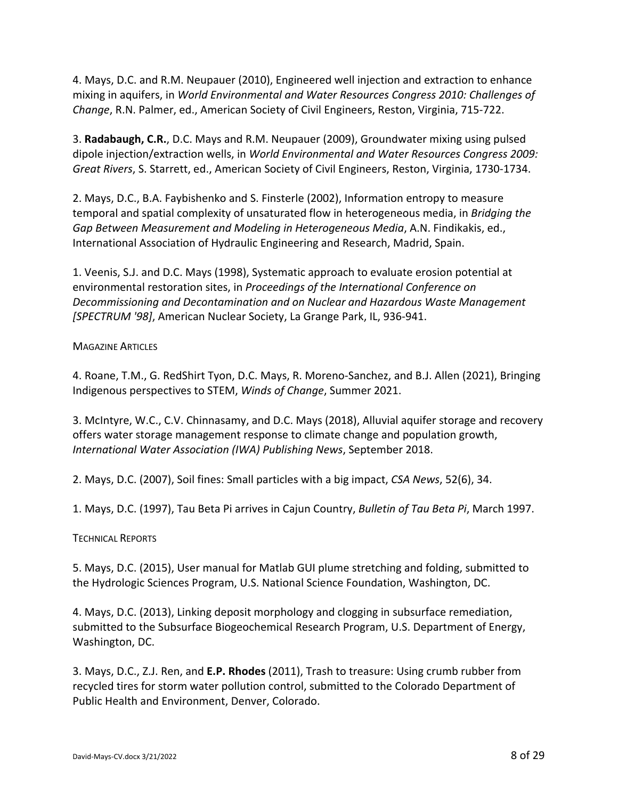4. Mays, D.C. and R.M. Neupauer (2010), Engineered well injection and extraction to enhance mixing in aquifers, in *World Environmental and Water Resources Congress 2010: Challenges of Change*, R.N. Palmer, ed., American Society of Civil Engineers, Reston, Virginia, 715‐722.

3. **Radabaugh, C.R.**, D.C. Mays and R.M. Neupauer (2009), Groundwater mixing using pulsed dipole injection/extraction wells, in *World Environmental and Water Resources Congress 2009: Great Rivers*, S. Starrett, ed., American Society of Civil Engineers, Reston, Virginia, 1730‐1734.

2. Mays, D.C., B.A. Faybishenko and S. Finsterle (2002), Information entropy to measure temporal and spatial complexity of unsaturated flow in heterogeneous media, in *Bridging the Gap Between Measurement and Modeling in Heterogeneous Media*, A.N. Findikakis, ed., International Association of Hydraulic Engineering and Research, Madrid, Spain.

1. Veenis, S.J. and D.C. Mays (1998), Systematic approach to evaluate erosion potential at environmental restoration sites, in *Proceedings of the International Conference on Decommissioning and Decontamination and on Nuclear and Hazardous Waste Management [SPECTRUM '98]*, American Nuclear Society, La Grange Park, IL, 936‐941.

## **MAGAZINE ARTICLES**

4. Roane, T.M., G. RedShirt Tyon, D.C. Mays, R. Moreno‐Sanchez, and B.J. Allen (2021), Bringing Indigenous perspectives to STEM, *Winds of Change*, Summer 2021.

3. McIntyre, W.C., C.V. Chinnasamy, and D.C. Mays (2018), Alluvial aquifer storage and recovery offers water storage management response to climate change and population growth, *International Water Association (IWA) Publishing News*, September 2018.

2. Mays, D.C. (2007), Soil fines: Small particles with a big impact, *CSA News*, 52(6), 34.

1. Mays, D.C. (1997), Tau Beta Pi arrives in Cajun Country, *Bulletin of Tau Beta Pi*, March 1997.

## TECHNICAL REPORTS

5. Mays, D.C. (2015), User manual for Matlab GUI plume stretching and folding, submitted to the Hydrologic Sciences Program, U.S. National Science Foundation, Washington, DC.

4. Mays, D.C. (2013), Linking deposit morphology and clogging in subsurface remediation, submitted to the Subsurface Biogeochemical Research Program, U.S. Department of Energy, Washington, DC.

3. Mays, D.C., Z.J. Ren, and **E.P. Rhodes** (2011), Trash to treasure: Using crumb rubber from recycled tires for storm water pollution control, submitted to the Colorado Department of Public Health and Environment, Denver, Colorado.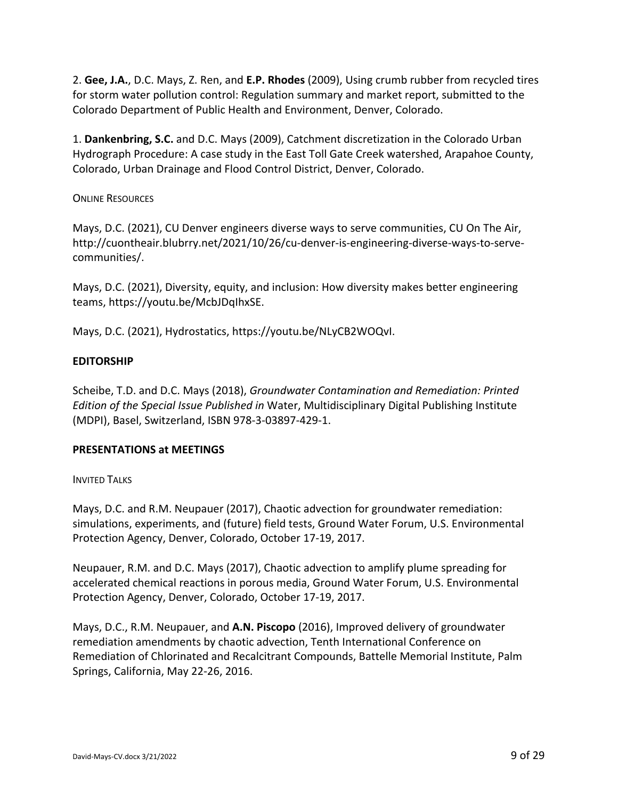2. **Gee, J.A.**, D.C. Mays, Z. Ren, and **E.P. Rhodes** (2009), Using crumb rubber from recycled tires for storm water pollution control: Regulation summary and market report, submitted to the Colorado Department of Public Health and Environment, Denver, Colorado.

1. **Dankenbring, S.C.** and D.C. Mays (2009), Catchment discretization in the Colorado Urban Hydrograph Procedure: A case study in the East Toll Gate Creek watershed, Arapahoe County, Colorado, Urban Drainage and Flood Control District, Denver, Colorado.

## ONLINE RESOURCES

Mays, D.C. (2021), CU Denver engineers diverse ways to serve communities, CU On The Air, http://cuontheair.blubrry.net/2021/10/26/cu-denver-is-engineering-diverse-ways-to-servecommunities/.

Mays, D.C. (2021), Diversity, equity, and inclusion: How diversity makes better engineering teams, https://youtu.be/McbJDqIhxSE.

Mays, D.C. (2021), Hydrostatics, https://youtu.be/NLyCB2WOQvI.

# **EDITORSHIP**

Scheibe, T.D. and D.C. Mays (2018), *Groundwater Contamination and Remediation: Printed Edition of the Special Issue Published in* Water, Multidisciplinary Digital Publishing Institute (MDPI), Basel, Switzerland, ISBN 978‐3‐03897‐429‐1.

## **PRESENTATIONS at MEETINGS**

#### INVITED TALKS

Mays, D.C. and R.M. Neupauer (2017), Chaotic advection for groundwater remediation: simulations, experiments, and (future) field tests, Ground Water Forum, U.S. Environmental Protection Agency, Denver, Colorado, October 17‐19, 2017.

Neupauer, R.M. and D.C. Mays (2017), Chaotic advection to amplify plume spreading for accelerated chemical reactions in porous media, Ground Water Forum, U.S. Environmental Protection Agency, Denver, Colorado, October 17‐19, 2017.

Mays, D.C., R.M. Neupauer, and **A.N. Piscopo** (2016), Improved delivery of groundwater remediation amendments by chaotic advection, Tenth International Conference on Remediation of Chlorinated and Recalcitrant Compounds, Battelle Memorial Institute, Palm Springs, California, May 22‐26, 2016.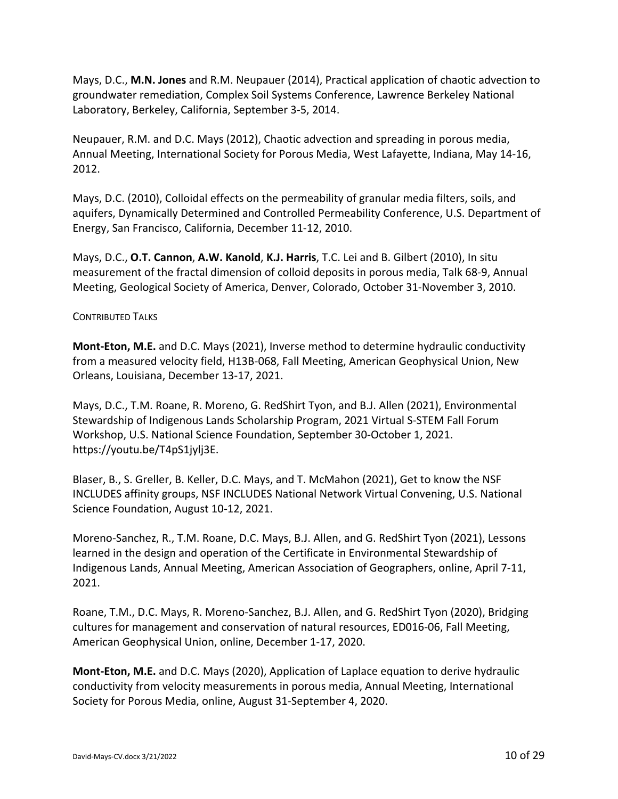Mays, D.C., **M.N. Jones** and R.M. Neupauer (2014), Practical application of chaotic advection to groundwater remediation, Complex Soil Systems Conference, Lawrence Berkeley National Laboratory, Berkeley, California, September 3‐5, 2014.

Neupauer, R.M. and D.C. Mays (2012), Chaotic advection and spreading in porous media, Annual Meeting, International Society for Porous Media, West Lafayette, Indiana, May 14‐16, 2012.

Mays, D.C. (2010), Colloidal effects on the permeability of granular media filters, soils, and aquifers, Dynamically Determined and Controlled Permeability Conference, U.S. Department of Energy, San Francisco, California, December 11‐12, 2010.

Mays, D.C., **O.T. Cannon**, **A.W. Kanold**, **K.J. Harris**, T.C. Lei and B. Gilbert (2010), In situ measurement of the fractal dimension of colloid deposits in porous media, Talk 68‐9, Annual Meeting, Geological Society of America, Denver, Colorado, October 31‐November 3, 2010.

## CONTRIBUTED TALKS

**Mont‐Eton, M.E.** and D.C. Mays (2021), Inverse method to determine hydraulic conductivity from a measured velocity field, H13B‐068, Fall Meeting, American Geophysical Union, New Orleans, Louisiana, December 13‐17, 2021.

Mays, D.C., T.M. Roane, R. Moreno, G. RedShirt Tyon, and B.J. Allen (2021), Environmental Stewardship of Indigenous Lands Scholarship Program, 2021 Virtual S‐STEM Fall Forum Workshop, U.S. National Science Foundation, September 30‐October 1, 2021. https://youtu.be/T4pS1jylj3E.

Blaser, B., S. Greller, B. Keller, D.C. Mays, and T. McMahon (2021), Get to know the NSF INCLUDES affinity groups, NSF INCLUDES National Network Virtual Convening, U.S. National Science Foundation, August 10‐12, 2021.

Moreno‐Sanchez, R., T.M. Roane, D.C. Mays, B.J. Allen, and G. RedShirt Tyon (2021), Lessons learned in the design and operation of the Certificate in Environmental Stewardship of Indigenous Lands, Annual Meeting, American Association of Geographers, online, April 7‐11, 2021.

Roane, T.M., D.C. Mays, R. Moreno‐Sanchez, B.J. Allen, and G. RedShirt Tyon (2020), Bridging cultures for management and conservation of natural resources, ED016‐06, Fall Meeting, American Geophysical Union, online, December 1‐17, 2020.

**Mont‐Eton, M.E.** and D.C. Mays (2020), Application of Laplace equation to derive hydraulic conductivity from velocity measurements in porous media, Annual Meeting, International Society for Porous Media, online, August 31‐September 4, 2020.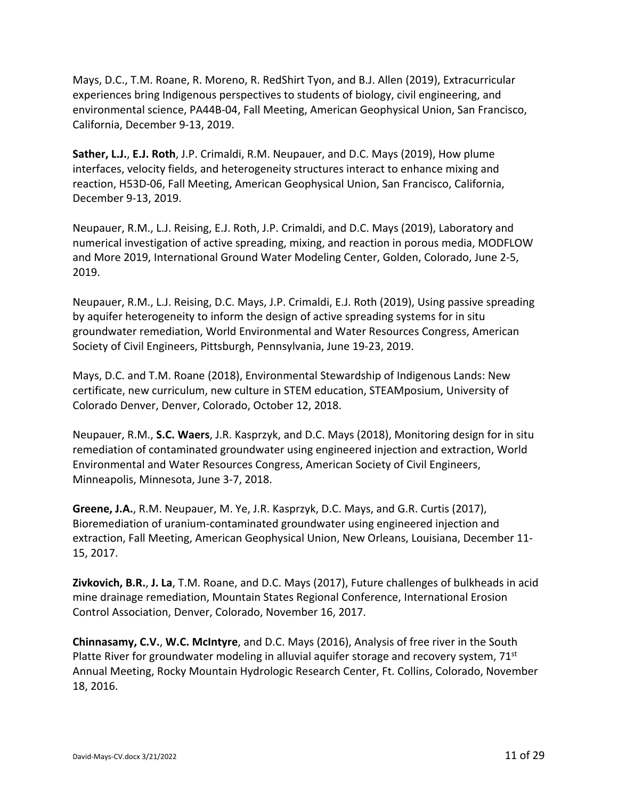Mays, D.C., T.M. Roane, R. Moreno, R. RedShirt Tyon, and B.J. Allen (2019), Extracurricular experiences bring Indigenous perspectives to students of biology, civil engineering, and environmental science, PA44B‐04, Fall Meeting, American Geophysical Union, San Francisco, California, December 9‐13, 2019.

**Sather, L.J.**, **E.J. Roth**, J.P. Crimaldi, R.M. Neupauer, and D.C. Mays (2019), How plume interfaces, velocity fields, and heterogeneity structures interact to enhance mixing and reaction, H53D‐06, Fall Meeting, American Geophysical Union, San Francisco, California, December 9‐13, 2019.

Neupauer, R.M., L.J. Reising, E.J. Roth, J.P. Crimaldi, and D.C. Mays (2019), Laboratory and numerical investigation of active spreading, mixing, and reaction in porous media, MODFLOW and More 2019, International Ground Water Modeling Center, Golden, Colorado, June 2‐5, 2019.

Neupauer, R.M., L.J. Reising, D.C. Mays, J.P. Crimaldi, E.J. Roth (2019), Using passive spreading by aquifer heterogeneity to inform the design of active spreading systems for in situ groundwater remediation, World Environmental and Water Resources Congress, American Society of Civil Engineers, Pittsburgh, Pennsylvania, June 19‐23, 2019.

Mays, D.C. and T.M. Roane (2018), Environmental Stewardship of Indigenous Lands: New certificate, new curriculum, new culture in STEM education, STEAMposium, University of Colorado Denver, Denver, Colorado, October 12, 2018.

Neupauer, R.M., **S.C. Waers**, J.R. Kasprzyk, and D.C. Mays (2018), Monitoring design for in situ remediation of contaminated groundwater using engineered injection and extraction, World Environmental and Water Resources Congress, American Society of Civil Engineers, Minneapolis, Minnesota, June 3‐7, 2018.

**Greene, J.A.**, R.M. Neupauer, M. Ye, J.R. Kasprzyk, D.C. Mays, and G.R. Curtis (2017), Bioremediation of uranium‐contaminated groundwater using engineered injection and extraction, Fall Meeting, American Geophysical Union, New Orleans, Louisiana, December 11‐ 15, 2017.

**Zivkovich, B.R.**, **J. La**, T.M. Roane, and D.C. Mays (2017), Future challenges of bulkheads in acid mine drainage remediation, Mountain States Regional Conference, International Erosion Control Association, Denver, Colorado, November 16, 2017.

**Chinnasamy, C.V.**, **W.C. McIntyre**, and D.C. Mays (2016), Analysis of free river in the South Platte River for groundwater modeling in alluvial aquifer storage and recovery system,  $71<sup>st</sup>$ Annual Meeting, Rocky Mountain Hydrologic Research Center, Ft. Collins, Colorado, November 18, 2016.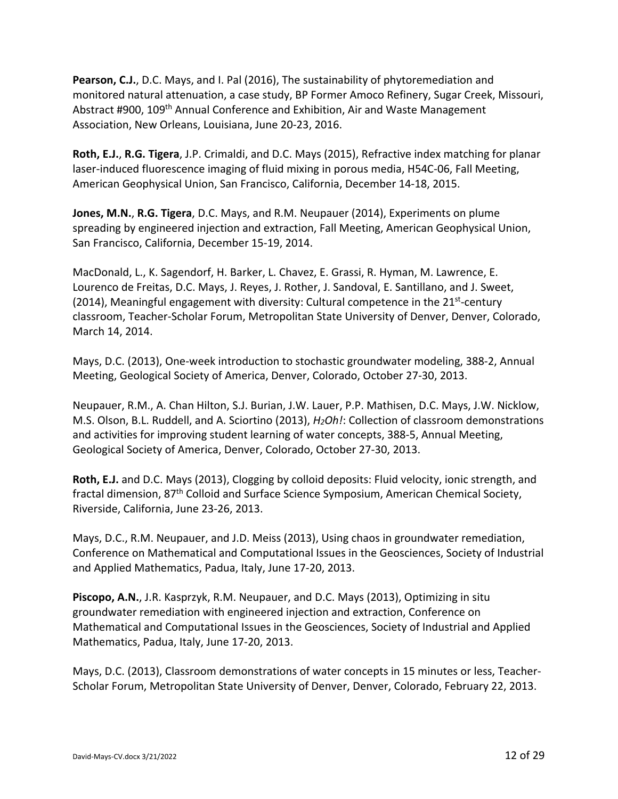**Pearson, C.J.**, D.C. Mays, and I. Pal (2016), The sustainability of phytoremediation and monitored natural attenuation, a case study, BP Former Amoco Refinery, Sugar Creek, Missouri, Abstract #900, 109th Annual Conference and Exhibition, Air and Waste Management Association, New Orleans, Louisiana, June 20‐23, 2016.

**Roth, E.J.**, **R.G. Tigera**, J.P. Crimaldi, and D.C. Mays (2015), Refractive index matching for planar laser-induced fluorescence imaging of fluid mixing in porous media, H54C-06, Fall Meeting, American Geophysical Union, San Francisco, California, December 14‐18, 2015.

**Jones, M.N.**, **R.G. Tigera**, D.C. Mays, and R.M. Neupauer (2014), Experiments on plume spreading by engineered injection and extraction, Fall Meeting, American Geophysical Union, San Francisco, California, December 15‐19, 2014.

MacDonald, L., K. Sagendorf, H. Barker, L. Chavez, E. Grassi, R. Hyman, M. Lawrence, E. Lourenco de Freitas, D.C. Mays, J. Reyes, J. Rother, J. Sandoval, E. Santillano, and J. Sweet, (2014), Meaningful engagement with diversity: Cultural competence in the  $21^{st}$ -century classroom, Teacher‐Scholar Forum, Metropolitan State University of Denver, Denver, Colorado, March 14, 2014.

Mays, D.C. (2013), One‐week introduction to stochastic groundwater modeling, 388‐2, Annual Meeting, Geological Society of America, Denver, Colorado, October 27‐30, 2013.

Neupauer, R.M., A. Chan Hilton, S.J. Burian, J.W. Lauer, P.P. Mathisen, D.C. Mays, J.W. Nicklow, M.S. Olson, B.L. Ruddell, and A. Sciortino (2013), *H2Oh!*: Collection of classroom demonstrations and activities for improving student learning of water concepts, 388‐5, Annual Meeting, Geological Society of America, Denver, Colorado, October 27‐30, 2013.

**Roth, E.J.** and D.C. Mays (2013), Clogging by colloid deposits: Fluid velocity, ionic strength, and fractal dimension, 87<sup>th</sup> Colloid and Surface Science Symposium, American Chemical Society, Riverside, California, June 23‐26, 2013.

Mays, D.C., R.M. Neupauer, and J.D. Meiss (2013), Using chaos in groundwater remediation, Conference on Mathematical and Computational Issues in the Geosciences, Society of Industrial and Applied Mathematics, Padua, Italy, June 17‐20, 2013.

**Piscopo, A.N.**, J.R. Kasprzyk, R.M. Neupauer, and D.C. Mays (2013), Optimizing in situ groundwater remediation with engineered injection and extraction, Conference on Mathematical and Computational Issues in the Geosciences, Society of Industrial and Applied Mathematics, Padua, Italy, June 17‐20, 2013.

Mays, D.C. (2013), Classroom demonstrations of water concepts in 15 minutes or less, Teacher‐ Scholar Forum, Metropolitan State University of Denver, Denver, Colorado, February 22, 2013.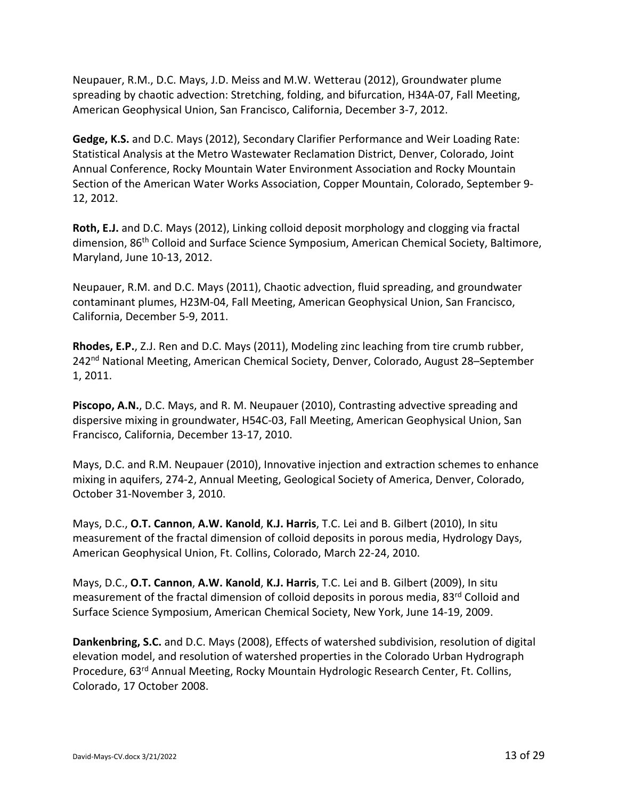Neupauer, R.M., D.C. Mays, J.D. Meiss and M.W. Wetterau (2012), Groundwater plume spreading by chaotic advection: Stretching, folding, and bifurcation, H34A‐07, Fall Meeting, American Geophysical Union, San Francisco, California, December 3‐7, 2012.

**Gedge, K.S.** and D.C. Mays (2012), Secondary Clarifier Performance and Weir Loading Rate: Statistical Analysis at the Metro Wastewater Reclamation District, Denver, Colorado, Joint Annual Conference, Rocky Mountain Water Environment Association and Rocky Mountain Section of the American Water Works Association, Copper Mountain, Colorado, September 9‐ 12, 2012.

**Roth, E.J.** and D.C. Mays (2012), Linking colloid deposit morphology and clogging via fractal dimension, 86<sup>th</sup> Colloid and Surface Science Symposium, American Chemical Society, Baltimore, Maryland, June 10‐13, 2012.

Neupauer, R.M. and D.C. Mays (2011), Chaotic advection, fluid spreading, and groundwater contaminant plumes, H23M‐04, Fall Meeting, American Geophysical Union, San Francisco, California, December 5‐9, 2011.

**Rhodes, E.P.**, Z.J. Ren and D.C. Mays (2011), Modeling zinc leaching from tire crumb rubber, 242<sup>nd</sup> National Meeting, American Chemical Society, Denver, Colorado, August 28–September 1, 2011.

**Piscopo, A.N.**, D.C. Mays, and R. M. Neupauer (2010), Contrasting advective spreading and dispersive mixing in groundwater, H54C‐03, Fall Meeting, American Geophysical Union, San Francisco, California, December 13‐17, 2010.

Mays, D.C. and R.M. Neupauer (2010), Innovative injection and extraction schemes to enhance mixing in aquifers, 274‐2, Annual Meeting, Geological Society of America, Denver, Colorado, October 31‐November 3, 2010.

Mays, D.C., **O.T. Cannon**, **A.W. Kanold**, **K.J. Harris**, T.C. Lei and B. Gilbert (2010), In situ measurement of the fractal dimension of colloid deposits in porous media, Hydrology Days, American Geophysical Union, Ft. Collins, Colorado, March 22‐24, 2010.

Mays, D.C., **O.T. Cannon**, **A.W. Kanold**, **K.J. Harris**, T.C. Lei and B. Gilbert (2009), In situ measurement of the fractal dimension of colloid deposits in porous media, 83<sup>rd</sup> Colloid and Surface Science Symposium, American Chemical Society, New York, June 14‐19, 2009.

**Dankenbring, S.C.** and D.C. Mays (2008), Effects of watershed subdivision, resolution of digital elevation model, and resolution of watershed properties in the Colorado Urban Hydrograph Procedure, 63rd Annual Meeting, Rocky Mountain Hydrologic Research Center, Ft. Collins, Colorado, 17 October 2008.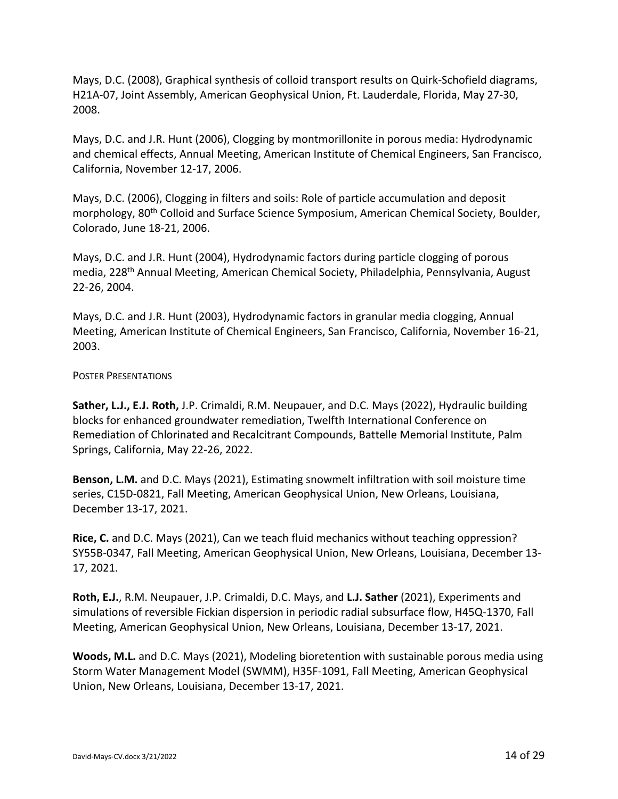Mays, D.C. (2008), Graphical synthesis of colloid transport results on Quirk‐Schofield diagrams, H21A‐07, Joint Assembly, American Geophysical Union, Ft. Lauderdale, Florida, May 27‐30, 2008.

Mays, D.C. and J.R. Hunt (2006), Clogging by montmorillonite in porous media: Hydrodynamic and chemical effects, Annual Meeting, American Institute of Chemical Engineers, San Francisco, California, November 12‐17, 2006.

Mays, D.C. (2006), Clogging in filters and soils: Role of particle accumulation and deposit morphology, 80<sup>th</sup> Colloid and Surface Science Symposium, American Chemical Society, Boulder, Colorado, June 18‐21, 2006.

Mays, D.C. and J.R. Hunt (2004), Hydrodynamic factors during particle clogging of porous media, 228th Annual Meeting, American Chemical Society, Philadelphia, Pennsylvania, August 22‐26, 2004.

Mays, D.C. and J.R. Hunt (2003), Hydrodynamic factors in granular media clogging, Annual Meeting, American Institute of Chemical Engineers, San Francisco, California, November 16‐21, 2003.

### POSTER PRESENTATIONS

**Sather, L.J., E.J. Roth,** J.P. Crimaldi, R.M. Neupauer, and D.C. Mays (2022), Hydraulic building blocks for enhanced groundwater remediation, Twelfth International Conference on Remediation of Chlorinated and Recalcitrant Compounds, Battelle Memorial Institute, Palm Springs, California, May 22‐26, 2022.

**Benson, L.M.** and D.C. Mays (2021), Estimating snowmelt infiltration with soil moisture time series, C15D-0821, Fall Meeting, American Geophysical Union, New Orleans, Louisiana, December 13‐17, 2021.

**Rice, C.** and D.C. Mays (2021), Can we teach fluid mechanics without teaching oppression? SY55B‐0347, Fall Meeting, American Geophysical Union, New Orleans, Louisiana, December 13‐ 17, 2021.

**Roth, E.J.**, R.M. Neupauer, J.P. Crimaldi, D.C. Mays, and **L.J. Sather** (2021), Experiments and simulations of reversible Fickian dispersion in periodic radial subsurface flow, H45Q-1370, Fall Meeting, American Geophysical Union, New Orleans, Louisiana, December 13‐17, 2021.

**Woods, M.L.** and D.C. Mays (2021), Modeling bioretention with sustainable porous media using Storm Water Management Model (SWMM), H35F‐1091, Fall Meeting, American Geophysical Union, New Orleans, Louisiana, December 13‐17, 2021.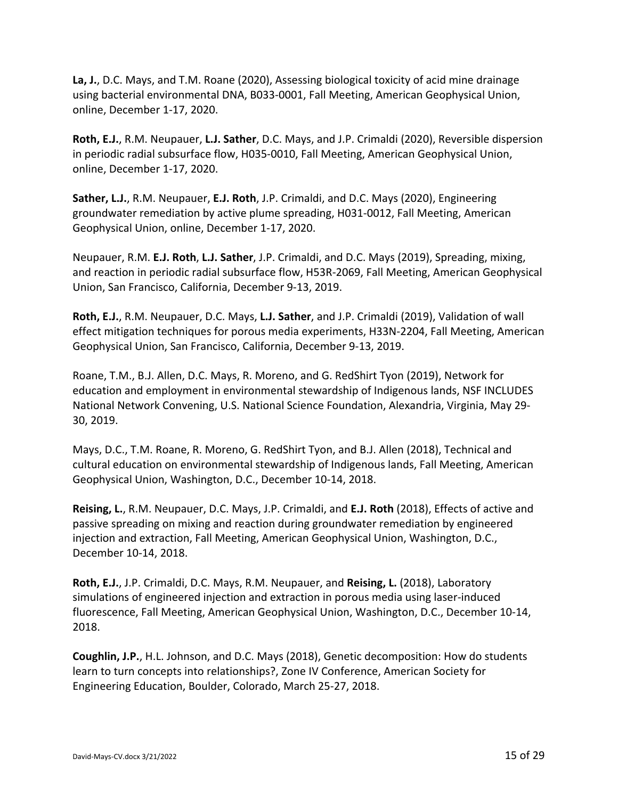**La, J.**, D.C. Mays, and T.M. Roane (2020), Assessing biological toxicity of acid mine drainage using bacterial environmental DNA, B033‐0001, Fall Meeting, American Geophysical Union, online, December 1‐17, 2020.

**Roth, E.J.**, R.M. Neupauer, **L.J. Sather**, D.C. Mays, and J.P. Crimaldi (2020), Reversible dispersion in periodic radial subsurface flow, H035‐0010, Fall Meeting, American Geophysical Union, online, December 1‐17, 2020.

**Sather, L.J.**, R.M. Neupauer, **E.J. Roth**, J.P. Crimaldi, and D.C. Mays (2020), Engineering groundwater remediation by active plume spreading, H031‐0012, Fall Meeting, American Geophysical Union, online, December 1‐17, 2020.

Neupauer, R.M. **E.J. Roth**, **L.J. Sather**, J.P. Crimaldi, and D.C. Mays (2019), Spreading, mixing, and reaction in periodic radial subsurface flow, H53R‐2069, Fall Meeting, American Geophysical Union, San Francisco, California, December 9‐13, 2019.

**Roth, E.J.**, R.M. Neupauer, D.C. Mays, **L.J. Sather**, and J.P. Crimaldi (2019), Validation of wall effect mitigation techniques for porous media experiments, H33N‐2204, Fall Meeting, American Geophysical Union, San Francisco, California, December 9‐13, 2019.

Roane, T.M., B.J. Allen, D.C. Mays, R. Moreno, and G. RedShirt Tyon (2019), Network for education and employment in environmental stewardship of Indigenous lands, NSF INCLUDES National Network Convening, U.S. National Science Foundation, Alexandria, Virginia, May 29‐ 30, 2019.

Mays, D.C., T.M. Roane, R. Moreno, G. RedShirt Tyon, and B.J. Allen (2018), Technical and cultural education on environmental stewardship of Indigenous lands, Fall Meeting, American Geophysical Union, Washington, D.C., December 10‐14, 2018.

**Reising, L.**, R.M. Neupauer, D.C. Mays, J.P. Crimaldi, and **E.J. Roth** (2018), Effects of active and passive spreading on mixing and reaction during groundwater remediation by engineered injection and extraction, Fall Meeting, American Geophysical Union, Washington, D.C., December 10‐14, 2018.

**Roth, E.J.**, J.P. Crimaldi, D.C. Mays, R.M. Neupauer, and **Reising, L.** (2018), Laboratory simulations of engineered injection and extraction in porous media using laser‐induced fluorescence, Fall Meeting, American Geophysical Union, Washington, D.C., December 10‐14, 2018.

**Coughlin, J.P.**, H.L. Johnson, and D.C. Mays (2018), Genetic decomposition: How do students learn to turn concepts into relationships?, Zone IV Conference, American Society for Engineering Education, Boulder, Colorado, March 25‐27, 2018.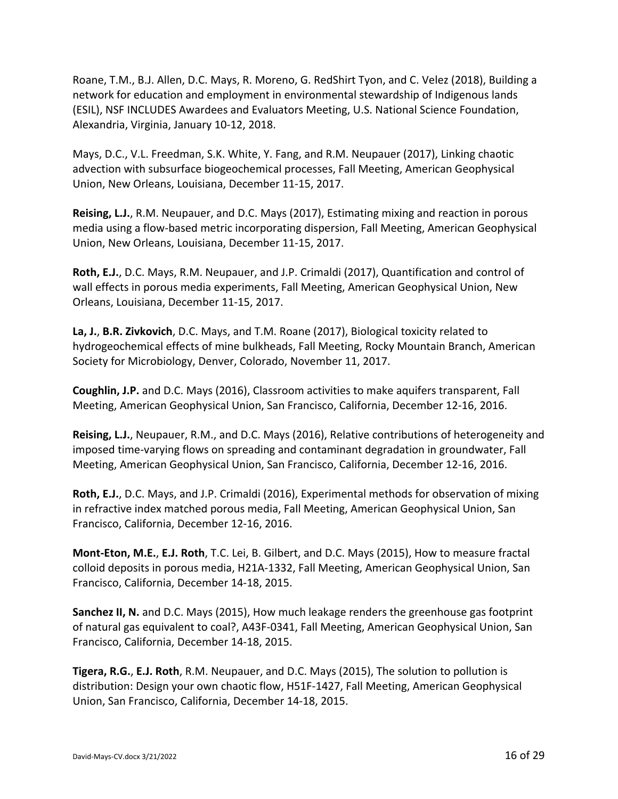Roane, T.M., B.J. Allen, D.C. Mays, R. Moreno, G. RedShirt Tyon, and C. Velez (2018), Building a network for education and employment in environmental stewardship of Indigenous lands (ESIL), NSF INCLUDES Awardees and Evaluators Meeting, U.S. National Science Foundation, Alexandria, Virginia, January 10‐12, 2018.

Mays, D.C., V.L. Freedman, S.K. White, Y. Fang, and R.M. Neupauer (2017), Linking chaotic advection with subsurface biogeochemical processes, Fall Meeting, American Geophysical Union, New Orleans, Louisiana, December 11‐15, 2017.

**Reising, L.J.**, R.M. Neupauer, and D.C. Mays (2017), Estimating mixing and reaction in porous media using a flow‐based metric incorporating dispersion, Fall Meeting, American Geophysical Union, New Orleans, Louisiana, December 11‐15, 2017.

**Roth, E.J.**, D.C. Mays, R.M. Neupauer, and J.P. Crimaldi (2017), Quantification and control of wall effects in porous media experiments, Fall Meeting, American Geophysical Union, New Orleans, Louisiana, December 11‐15, 2017.

**La, J.**, **B.R. Zivkovich**, D.C. Mays, and T.M. Roane (2017), Biological toxicity related to hydrogeochemical effects of mine bulkheads, Fall Meeting, Rocky Mountain Branch, American Society for Microbiology, Denver, Colorado, November 11, 2017.

**Coughlin, J.P.** and D.C. Mays (2016), Classroom activities to make aquifers transparent, Fall Meeting, American Geophysical Union, San Francisco, California, December 12‐16, 2016.

**Reising, L.J.**, Neupauer, R.M., and D.C. Mays (2016), Relative contributions of heterogeneity and imposed time‐varying flows on spreading and contaminant degradation in groundwater, Fall Meeting, American Geophysical Union, San Francisco, California, December 12‐16, 2016.

**Roth, E.J.**, D.C. Mays, and J.P. Crimaldi (2016), Experimental methods for observation of mixing in refractive index matched porous media, Fall Meeting, American Geophysical Union, San Francisco, California, December 12‐16, 2016.

**Mont‐Eton, M.E.**, **E.J. Roth**, T.C. Lei, B. Gilbert, and D.C. Mays (2015), How to measure fractal colloid deposits in porous media, H21A‐1332, Fall Meeting, American Geophysical Union, San Francisco, California, December 14‐18, 2015.

**Sanchez II, N.** and D.C. Mays (2015), How much leakage renders the greenhouse gas footprint of natural gas equivalent to coal?, A43F‐0341, Fall Meeting, American Geophysical Union, San Francisco, California, December 14‐18, 2015.

**Tigera, R.G.**, **E.J. Roth**, R.M. Neupauer, and D.C. Mays (2015), The solution to pollution is distribution: Design your own chaotic flow, H51F‐1427, Fall Meeting, American Geophysical Union, San Francisco, California, December 14‐18, 2015.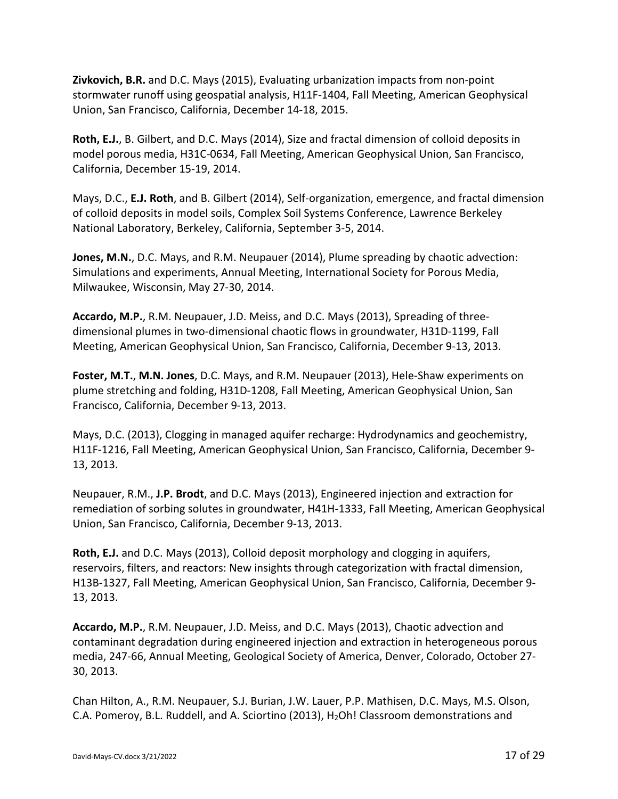**Zivkovich, B.R.** and D.C. Mays (2015), Evaluating urbanization impacts from non‐point stormwater runoff using geospatial analysis, H11F‐1404, Fall Meeting, American Geophysical Union, San Francisco, California, December 14‐18, 2015.

**Roth, E.J.**, B. Gilbert, and D.C. Mays (2014), Size and fractal dimension of colloid deposits in model porous media, H31C‐0634, Fall Meeting, American Geophysical Union, San Francisco, California, December 15‐19, 2014.

Mays, D.C., **E.J. Roth**, and B. Gilbert (2014), Self‐organization, emergence, and fractal dimension of colloid deposits in model soils, Complex Soil Systems Conference, Lawrence Berkeley National Laboratory, Berkeley, California, September 3‐5, 2014.

**Jones, M.N.**, D.C. Mays, and R.M. Neupauer (2014), Plume spreading by chaotic advection: Simulations and experiments, Annual Meeting, International Society for Porous Media, Milwaukee, Wisconsin, May 27‐30, 2014.

**Accardo, M.P.**, R.M. Neupauer, J.D. Meiss, and D.C. Mays (2013), Spreading of three‐ dimensional plumes in two‐dimensional chaotic flows in groundwater, H31D‐1199, Fall Meeting, American Geophysical Union, San Francisco, California, December 9‐13, 2013.

**Foster, M.T.**, **M.N. Jones**, D.C. Mays, and R.M. Neupauer (2013), Hele‐Shaw experiments on plume stretching and folding, H31D‐1208, Fall Meeting, American Geophysical Union, San Francisco, California, December 9‐13, 2013.

Mays, D.C. (2013), Clogging in managed aquifer recharge: Hydrodynamics and geochemistry, H11F-1216, Fall Meeting, American Geophysical Union, San Francisco, California, December 9-13, 2013.

Neupauer, R.M., **J.P. Brodt**, and D.C. Mays (2013), Engineered injection and extraction for remediation of sorbing solutes in groundwater, H41H‐1333, Fall Meeting, American Geophysical Union, San Francisco, California, December 9‐13, 2013.

**Roth, E.J.** and D.C. Mays (2013), Colloid deposit morphology and clogging in aquifers, reservoirs, filters, and reactors: New insights through categorization with fractal dimension, H13B‐1327, Fall Meeting, American Geophysical Union, San Francisco, California, December 9‐ 13, 2013.

**Accardo, M.P.**, R.M. Neupauer, J.D. Meiss, and D.C. Mays (2013), Chaotic advection and contaminant degradation during engineered injection and extraction in heterogeneous porous media, 247‐66, Annual Meeting, Geological Society of America, Denver, Colorado, October 27‐ 30, 2013.

Chan Hilton, A., R.M. Neupauer, S.J. Burian, J.W. Lauer, P.P. Mathisen, D.C. Mays, M.S. Olson, C.A. Pomeroy, B.L. Ruddell, and A. Sciortino (2013), H<sub>2</sub>Oh! Classroom demonstrations and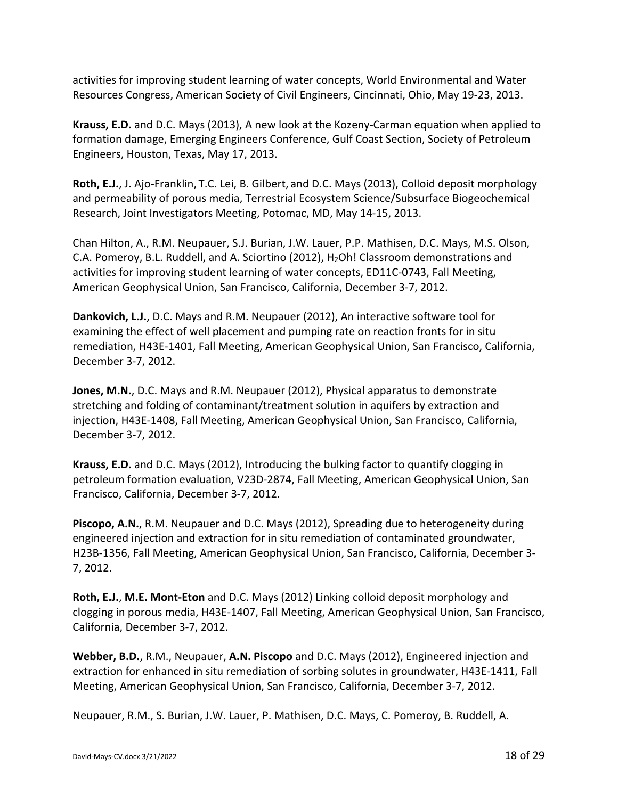activities for improving student learning of water concepts, World Environmental and Water Resources Congress, American Society of Civil Engineers, Cincinnati, Ohio, May 19‐23, 2013.

**Krauss, E.D.** and D.C. Mays (2013), A new look at the Kozeny‐Carman equation when applied to formation damage, Emerging Engineers Conference, Gulf Coast Section, Society of Petroleum Engineers, Houston, Texas, May 17, 2013.

**Roth, E.J.**, J. Ajo‐Franklin, T.C. Lei, B. Gilbert, and D.C. Mays (2013), Colloid deposit morphology and permeability of porous media, Terrestrial Ecosystem Science/Subsurface Biogeochemical Research, Joint Investigators Meeting, Potomac, MD, May 14‐15, 2013.

Chan Hilton, A., R.M. Neupauer, S.J. Burian, J.W. Lauer, P.P. Mathisen, D.C. Mays, M.S. Olson, C.A. Pomeroy, B.L. Ruddell, and A. Sciortino (2012), H<sub>2</sub>Oh! Classroom demonstrations and activities for improving student learning of water concepts, ED11C‐0743, Fall Meeting, American Geophysical Union, San Francisco, California, December 3‐7, 2012.

**Dankovich, L.J.**, D.C. Mays and R.M. Neupauer (2012), An interactive software tool for examining the effect of well placement and pumping rate on reaction fronts for in situ remediation, H43E‐1401, Fall Meeting, American Geophysical Union, San Francisco, California, December 3‐7, 2012.

**Jones, M.N.**, D.C. Mays and R.M. Neupauer (2012), Physical apparatus to demonstrate stretching and folding of contaminant/treatment solution in aquifers by extraction and injection, H43E‐1408, Fall Meeting, American Geophysical Union, San Francisco, California, December 3‐7, 2012.

**Krauss, E.D.** and D.C. Mays (2012), Introducing the bulking factor to quantify clogging in petroleum formation evaluation, V23D‐2874, Fall Meeting, American Geophysical Union, San Francisco, California, December 3‐7, 2012.

**Piscopo, A.N.**, R.M. Neupauer and D.C. Mays (2012), Spreading due to heterogeneity during engineered injection and extraction for in situ remediation of contaminated groundwater, H23B‐1356, Fall Meeting, American Geophysical Union, San Francisco, California, December 3‐ 7, 2012.

**Roth, E.J.**, **M.E. Mont‐Eton** and D.C. Mays (2012) Linking colloid deposit morphology and clogging in porous media, H43E‐1407, Fall Meeting, American Geophysical Union, San Francisco, California, December 3‐7, 2012.

**Webber, B.D.**, R.M., Neupauer, **A.N. Piscopo** and D.C. Mays (2012), Engineered injection and extraction for enhanced in situ remediation of sorbing solutes in groundwater, H43E‐1411, Fall Meeting, American Geophysical Union, San Francisco, California, December 3‐7, 2012.

Neupauer, R.M., S. Burian, J.W. Lauer, P. Mathisen, D.C. Mays, C. Pomeroy, B. Ruddell, A.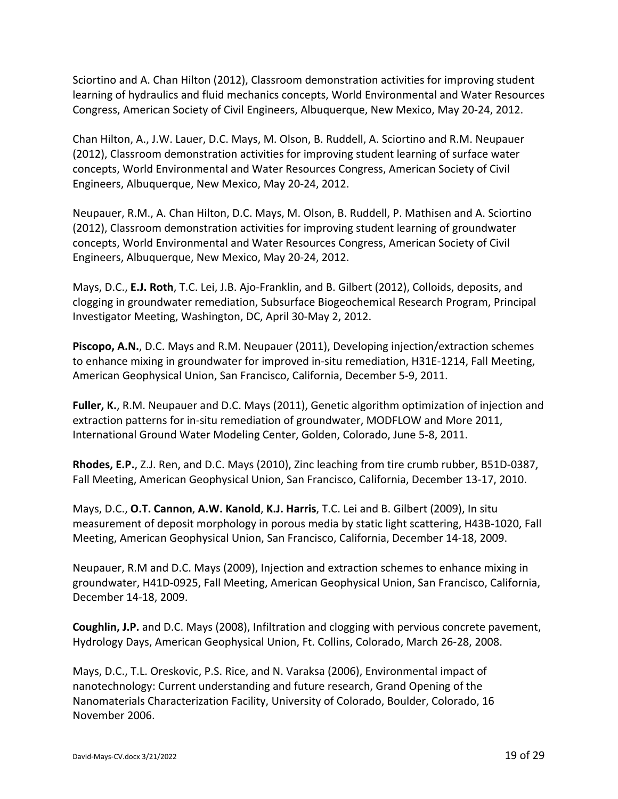Sciortino and A. Chan Hilton (2012), Classroom demonstration activities for improving student learning of hydraulics and fluid mechanics concepts, World Environmental and Water Resources Congress, American Society of Civil Engineers, Albuquerque, New Mexico, May 20‐24, 2012.

Chan Hilton, A., J.W. Lauer, D.C. Mays, M. Olson, B. Ruddell, A. Sciortino and R.M. Neupauer (2012), Classroom demonstration activities for improving student learning of surface water concepts, World Environmental and Water Resources Congress, American Society of Civil Engineers, Albuquerque, New Mexico, May 20‐24, 2012.

Neupauer, R.M., A. Chan Hilton, D.C. Mays, M. Olson, B. Ruddell, P. Mathisen and A. Sciortino (2012), Classroom demonstration activities for improving student learning of groundwater concepts, World Environmental and Water Resources Congress, American Society of Civil Engineers, Albuquerque, New Mexico, May 20‐24, 2012.

Mays, D.C., **E.J. Roth**, T.C. Lei, J.B. Ajo‐Franklin, and B. Gilbert (2012), Colloids, deposits, and clogging in groundwater remediation, Subsurface Biogeochemical Research Program, Principal Investigator Meeting, Washington, DC, April 30‐May 2, 2012.

**Piscopo, A.N.**, D.C. Mays and R.M. Neupauer (2011), Developing injection/extraction schemes to enhance mixing in groundwater for improved in‐situ remediation, H31E‐1214, Fall Meeting, American Geophysical Union, San Francisco, California, December 5‐9, 2011.

**Fuller, K.**, R.M. Neupauer and D.C. Mays (2011), Genetic algorithm optimization of injection and extraction patterns for in‐situ remediation of groundwater, MODFLOW and More 2011, International Ground Water Modeling Center, Golden, Colorado, June 5‐8, 2011.

**Rhodes, E.P.**, Z.J. Ren, and D.C. Mays (2010), Zinc leaching from tire crumb rubber, B51D‐0387, Fall Meeting, American Geophysical Union, San Francisco, California, December 13‐17, 2010.

Mays, D.C., **O.T. Cannon**, **A.W. Kanold**, **K.J. Harris**, T.C. Lei and B. Gilbert (2009), In situ measurement of deposit morphology in porous media by static light scattering, H43B-1020, Fall Meeting, American Geophysical Union, San Francisco, California, December 14‐18, 2009.

Neupauer, R.M and D.C. Mays (2009), Injection and extraction schemes to enhance mixing in groundwater, H41D‐0925, Fall Meeting, American Geophysical Union, San Francisco, California, December 14‐18, 2009.

**Coughlin, J.P.** and D.C. Mays (2008), Infiltration and clogging with pervious concrete pavement, Hydrology Days, American Geophysical Union, Ft. Collins, Colorado, March 26‐28, 2008.

Mays, D.C., T.L. Oreskovic, P.S. Rice, and N. Varaksa (2006), Environmental impact of nanotechnology: Current understanding and future research, Grand Opening of the Nanomaterials Characterization Facility, University of Colorado, Boulder, Colorado, 16 November 2006.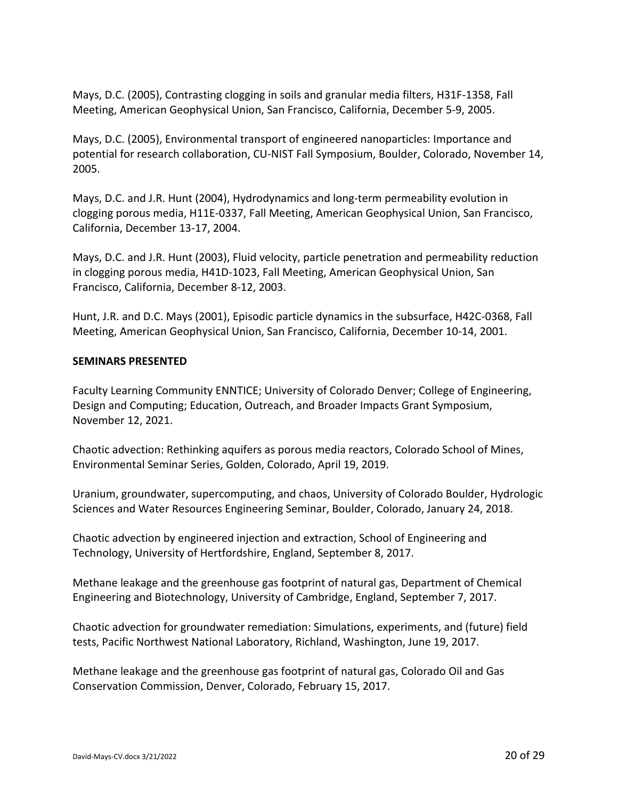Mays, D.C. (2005), Contrasting clogging in soils and granular media filters, H31F‐1358, Fall Meeting, American Geophysical Union, San Francisco, California, December 5‐9, 2005.

Mays, D.C. (2005), Environmental transport of engineered nanoparticles: Importance and potential for research collaboration, CU‐NIST Fall Symposium, Boulder, Colorado, November 14, 2005.

Mays, D.C. and J.R. Hunt (2004), Hydrodynamics and long-term permeability evolution in clogging porous media, H11E‐0337, Fall Meeting, American Geophysical Union, San Francisco, California, December 13‐17, 2004.

Mays, D.C. and J.R. Hunt (2003), Fluid velocity, particle penetration and permeability reduction in clogging porous media, H41D‐1023, Fall Meeting, American Geophysical Union, San Francisco, California, December 8‐12, 2003.

Hunt, J.R. and D.C. Mays (2001), Episodic particle dynamics in the subsurface, H42C‐0368, Fall Meeting, American Geophysical Union, San Francisco, California, December 10‐14, 2001.

### **SEMINARS PRESENTED**

Faculty Learning Community ENNTICE; University of Colorado Denver; College of Engineering, Design and Computing; Education, Outreach, and Broader Impacts Grant Symposium, November 12, 2021.

Chaotic advection: Rethinking aquifers as porous media reactors, Colorado School of Mines, Environmental Seminar Series, Golden, Colorado, April 19, 2019.

Uranium, groundwater, supercomputing, and chaos, University of Colorado Boulder, Hydrologic Sciences and Water Resources Engineering Seminar, Boulder, Colorado, January 24, 2018.

Chaotic advection by engineered injection and extraction, School of Engineering and Technology, University of Hertfordshire, England, September 8, 2017.

Methane leakage and the greenhouse gas footprint of natural gas, Department of Chemical Engineering and Biotechnology, University of Cambridge, England, September 7, 2017.

Chaotic advection for groundwater remediation: Simulations, experiments, and (future) field tests, Pacific Northwest National Laboratory, Richland, Washington, June 19, 2017.

Methane leakage and the greenhouse gas footprint of natural gas, Colorado Oil and Gas Conservation Commission, Denver, Colorado, February 15, 2017.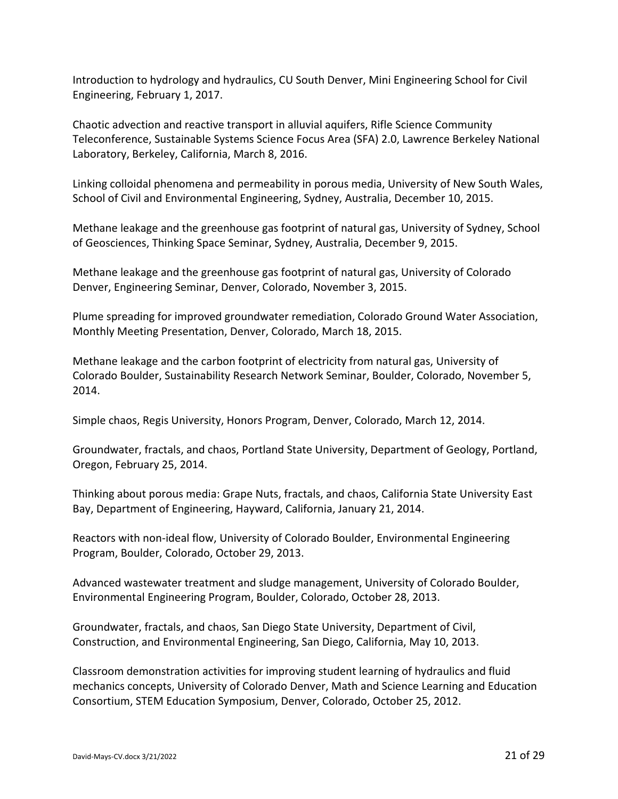Introduction to hydrology and hydraulics, CU South Denver, Mini Engineering School for Civil Engineering, February 1, 2017.

Chaotic advection and reactive transport in alluvial aquifers, Rifle Science Community Teleconference, Sustainable Systems Science Focus Area (SFA) 2.0, Lawrence Berkeley National Laboratory, Berkeley, California, March 8, 2016.

Linking colloidal phenomena and permeability in porous media, University of New South Wales, School of Civil and Environmental Engineering, Sydney, Australia, December 10, 2015.

Methane leakage and the greenhouse gas footprint of natural gas, University of Sydney, School of Geosciences, Thinking Space Seminar, Sydney, Australia, December 9, 2015.

Methane leakage and the greenhouse gas footprint of natural gas, University of Colorado Denver, Engineering Seminar, Denver, Colorado, November 3, 2015.

Plume spreading for improved groundwater remediation, Colorado Ground Water Association, Monthly Meeting Presentation, Denver, Colorado, March 18, 2015.

Methane leakage and the carbon footprint of electricity from natural gas, University of Colorado Boulder, Sustainability Research Network Seminar, Boulder, Colorado, November 5, 2014.

Simple chaos, Regis University, Honors Program, Denver, Colorado, March 12, 2014.

Groundwater, fractals, and chaos, Portland State University, Department of Geology, Portland, Oregon, February 25, 2014.

Thinking about porous media: Grape Nuts, fractals, and chaos, California State University East Bay, Department of Engineering, Hayward, California, January 21, 2014.

Reactors with non‐ideal flow, University of Colorado Boulder, Environmental Engineering Program, Boulder, Colorado, October 29, 2013.

Advanced wastewater treatment and sludge management, University of Colorado Boulder, Environmental Engineering Program, Boulder, Colorado, October 28, 2013.

Groundwater, fractals, and chaos, San Diego State University, Department of Civil, Construction, and Environmental Engineering, San Diego, California, May 10, 2013.

Classroom demonstration activities for improving student learning of hydraulics and fluid mechanics concepts, University of Colorado Denver, Math and Science Learning and Education Consortium, STEM Education Symposium, Denver, Colorado, October 25, 2012.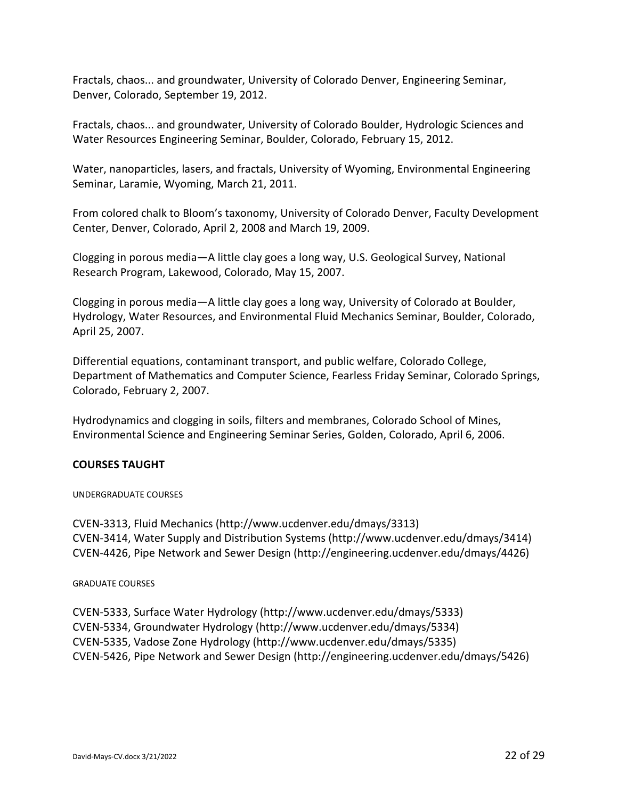Fractals, chaos... and groundwater, University of Colorado Denver, Engineering Seminar, Denver, Colorado, September 19, 2012.

Fractals, chaos... and groundwater, University of Colorado Boulder, Hydrologic Sciences and Water Resources Engineering Seminar, Boulder, Colorado, February 15, 2012.

Water, nanoparticles, lasers, and fractals, University of Wyoming, Environmental Engineering Seminar, Laramie, Wyoming, March 21, 2011.

From colored chalk to Bloom's taxonomy, University of Colorado Denver, Faculty Development Center, Denver, Colorado, April 2, 2008 and March 19, 2009.

Clogging in porous media—A little clay goes a long way, U.S. Geological Survey, National Research Program, Lakewood, Colorado, May 15, 2007.

Clogging in porous media—A little clay goes a long way, University of Colorado at Boulder, Hydrology, Water Resources, and Environmental Fluid Mechanics Seminar, Boulder, Colorado, April 25, 2007.

Differential equations, contaminant transport, and public welfare, Colorado College, Department of Mathematics and Computer Science, Fearless Friday Seminar, Colorado Springs, Colorado, February 2, 2007.

Hydrodynamics and clogging in soils, filters and membranes, Colorado School of Mines, Environmental Science and Engineering Seminar Series, Golden, Colorado, April 6, 2006.

## **COURSES TAUGHT**

#### UNDERGRADUATE COURSES

CVEN‐3313, Fluid Mechanics (http://www.ucdenver.edu/dmays/3313) CVEN‐3414, Water Supply and Distribution Systems (http://www.ucdenver.edu/dmays/3414) CVEN‐4426, Pipe Network and Sewer Design (http://engineering.ucdenver.edu/dmays/4426)

#### GRADUATE COURSES

CVEN‐5333, Surface Water Hydrology (http://www.ucdenver.edu/dmays/5333) CVEN‐5334, Groundwater Hydrology (http://www.ucdenver.edu/dmays/5334) CVEN‐5335, Vadose Zone Hydrology (http://www.ucdenver.edu/dmays/5335) CVEN‐5426, Pipe Network and Sewer Design (http://engineering.ucdenver.edu/dmays/5426)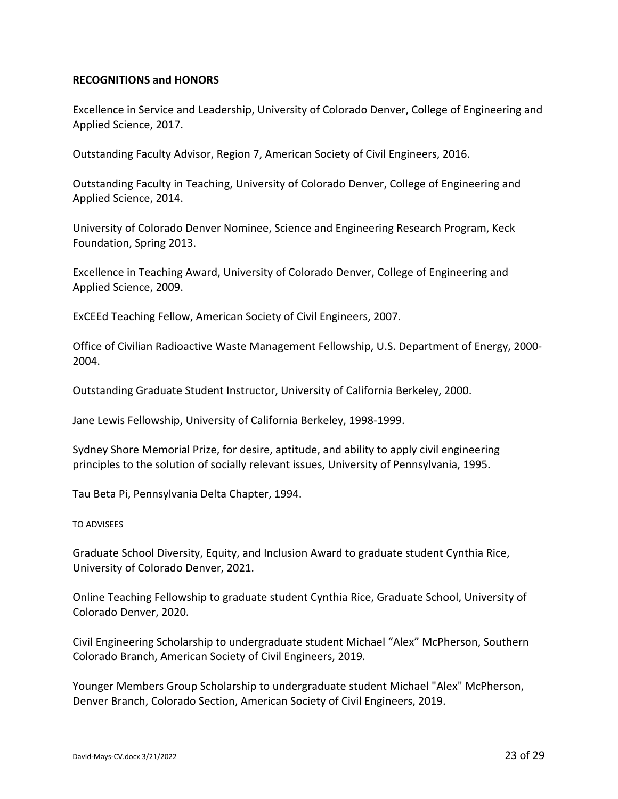## **RECOGNITIONS and HONORS**

Excellence in Service and Leadership, University of Colorado Denver, College of Engineering and Applied Science, 2017.

Outstanding Faculty Advisor, Region 7, American Society of Civil Engineers, 2016.

Outstanding Faculty in Teaching, University of Colorado Denver, College of Engineering and Applied Science, 2014.

University of Colorado Denver Nominee, Science and Engineering Research Program, Keck Foundation, Spring 2013.

Excellence in Teaching Award, University of Colorado Denver, College of Engineering and Applied Science, 2009.

ExCEEd Teaching Fellow, American Society of Civil Engineers, 2007.

Office of Civilian Radioactive Waste Management Fellowship, U.S. Department of Energy, 2000‐ 2004.

Outstanding Graduate Student Instructor, University of California Berkeley, 2000.

Jane Lewis Fellowship, University of California Berkeley, 1998‐1999.

Sydney Shore Memorial Prize, for desire, aptitude, and ability to apply civil engineering principles to the solution of socially relevant issues, University of Pennsylvania, 1995.

Tau Beta Pi, Pennsylvania Delta Chapter, 1994.

#### TO ADVISEES

Graduate School Diversity, Equity, and Inclusion Award to graduate student Cynthia Rice, University of Colorado Denver, 2021.

Online Teaching Fellowship to graduate student Cynthia Rice, Graduate School, University of Colorado Denver, 2020.

Civil Engineering Scholarship to undergraduate student Michael "Alex" McPherson, Southern Colorado Branch, American Society of Civil Engineers, 2019.

Younger Members Group Scholarship to undergraduate student Michael "Alex" McPherson, Denver Branch, Colorado Section, American Society of Civil Engineers, 2019.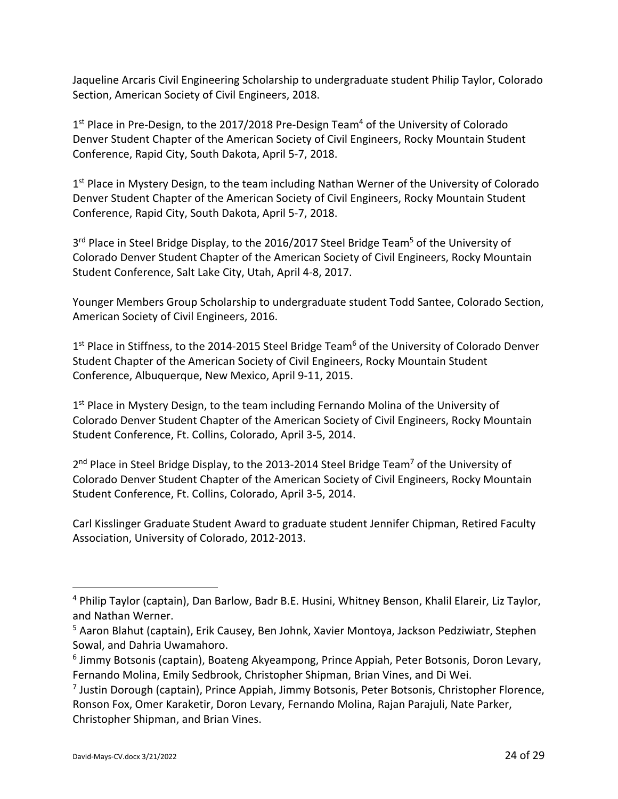Jaqueline Arcaris Civil Engineering Scholarship to undergraduate student Philip Taylor, Colorado Section, American Society of Civil Engineers, 2018.

1<sup>st</sup> Place in Pre-Design, to the 2017/2018 Pre-Design Team<sup>4</sup> of the University of Colorado Denver Student Chapter of the American Society of Civil Engineers, Rocky Mountain Student Conference, Rapid City, South Dakota, April 5‐7, 2018.

 $1<sup>st</sup>$  Place in Mystery Design, to the team including Nathan Werner of the University of Colorado Denver Student Chapter of the American Society of Civil Engineers, Rocky Mountain Student Conference, Rapid City, South Dakota, April 5‐7, 2018.

3<sup>rd</sup> Place in Steel Bridge Display, to the 2016/2017 Steel Bridge Team<sup>5</sup> of the University of Colorado Denver Student Chapter of the American Society of Civil Engineers, Rocky Mountain Student Conference, Salt Lake City, Utah, April 4‐8, 2017.

Younger Members Group Scholarship to undergraduate student Todd Santee, Colorado Section, American Society of Civil Engineers, 2016.

1<sup>st</sup> Place in Stiffness, to the 2014-2015 Steel Bridge Team<sup>6</sup> of the University of Colorado Denver Student Chapter of the American Society of Civil Engineers, Rocky Mountain Student Conference, Albuquerque, New Mexico, April 9‐11, 2015.

 $1<sup>st</sup>$  Place in Mystery Design, to the team including Fernando Molina of the University of Colorado Denver Student Chapter of the American Society of Civil Engineers, Rocky Mountain Student Conference, Ft. Collins, Colorado, April 3‐5, 2014.

2<sup>nd</sup> Place in Steel Bridge Display, to the 2013-2014 Steel Bridge Team<sup>7</sup> of the University of Colorado Denver Student Chapter of the American Society of Civil Engineers, Rocky Mountain Student Conference, Ft. Collins, Colorado, April 3‐5, 2014.

Carl Kisslinger Graduate Student Award to graduate student Jennifer Chipman, Retired Faculty Association, University of Colorado, 2012‐2013.

<sup>4</sup> Philip Taylor (captain), Dan Barlow, Badr B.E. Husini, Whitney Benson, Khalil Elareir, Liz Taylor, and Nathan Werner.

<sup>5</sup> Aaron Blahut (captain), Erik Causey, Ben Johnk, Xavier Montoya, Jackson Pedziwiatr, Stephen Sowal, and Dahria Uwamahoro.

<sup>&</sup>lt;sup>6</sup> Jimmy Botsonis (captain), Boateng Akyeampong, Prince Appiah, Peter Botsonis, Doron Levary, Fernando Molina, Emily Sedbrook, Christopher Shipman, Brian Vines, and Di Wei.

<sup>7</sup> Justin Dorough (captain), Prince Appiah, Jimmy Botsonis, Peter Botsonis, Christopher Florence, Ronson Fox, Omer Karaketir, Doron Levary, Fernando Molina, Rajan Parajuli, Nate Parker, Christopher Shipman, and Brian Vines.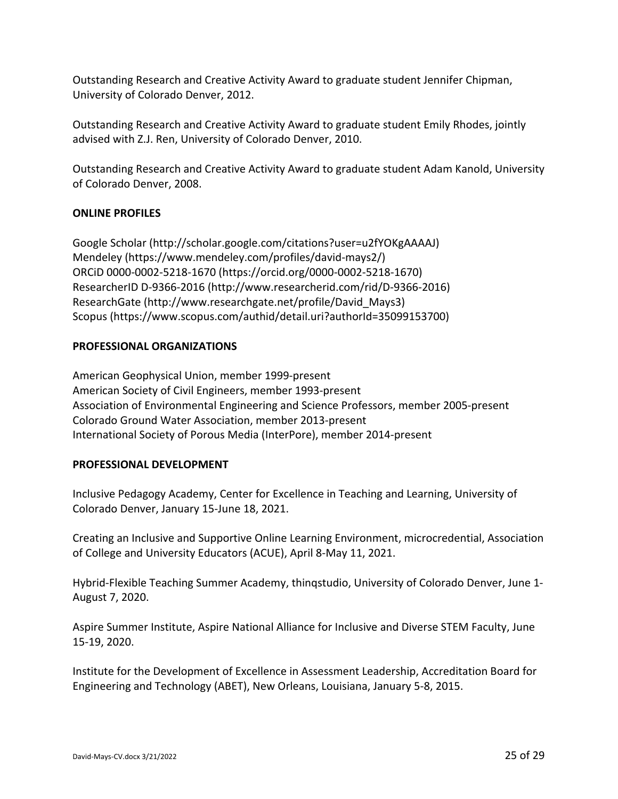Outstanding Research and Creative Activity Award to graduate student Jennifer Chipman, University of Colorado Denver, 2012.

Outstanding Research and Creative Activity Award to graduate student Emily Rhodes, jointly advised with Z.J. Ren, University of Colorado Denver, 2010.

Outstanding Research and Creative Activity Award to graduate student Adam Kanold, University of Colorado Denver, 2008.

## **ONLINE PROFILES**

Google Scholar (http://scholar.google.com/citations?user=u2fYOKgAAAAJ) Mendeley (https://www.mendeley.com/profiles/david‐mays2/) ORCiD 0000‐0002‐5218‐1670 (https://orcid.org/0000‐0002‐5218‐1670) ResearcherID D‐9366‐2016 (http://www.researcherid.com/rid/D‐9366‐2016) ResearchGate (http://www.researchgate.net/profile/David\_Mays3) Scopus (https://www.scopus.com/authid/detail.uri?authorId=35099153700)

### **PROFESSIONAL ORGANIZATIONS**

American Geophysical Union, member 1999‐present American Society of Civil Engineers, member 1993‐present Association of Environmental Engineering and Science Professors, member 2005‐present Colorado Ground Water Association, member 2013‐present International Society of Porous Media (InterPore), member 2014‐present

#### **PROFESSIONAL DEVELOPMENT**

Inclusive Pedagogy Academy, Center for Excellence in Teaching and Learning, University of Colorado Denver, January 15‐June 18, 2021.

Creating an Inclusive and Supportive Online Learning Environment, microcredential, Association of College and University Educators (ACUE), April 8‐May 11, 2021.

Hybrid-Flexible Teaching Summer Academy, thingstudio, University of Colorado Denver, June 1-August 7, 2020.

Aspire Summer Institute, Aspire National Alliance for Inclusive and Diverse STEM Faculty, June 15‐19, 2020.

Institute for the Development of Excellence in Assessment Leadership, Accreditation Board for Engineering and Technology (ABET), New Orleans, Louisiana, January 5‐8, 2015.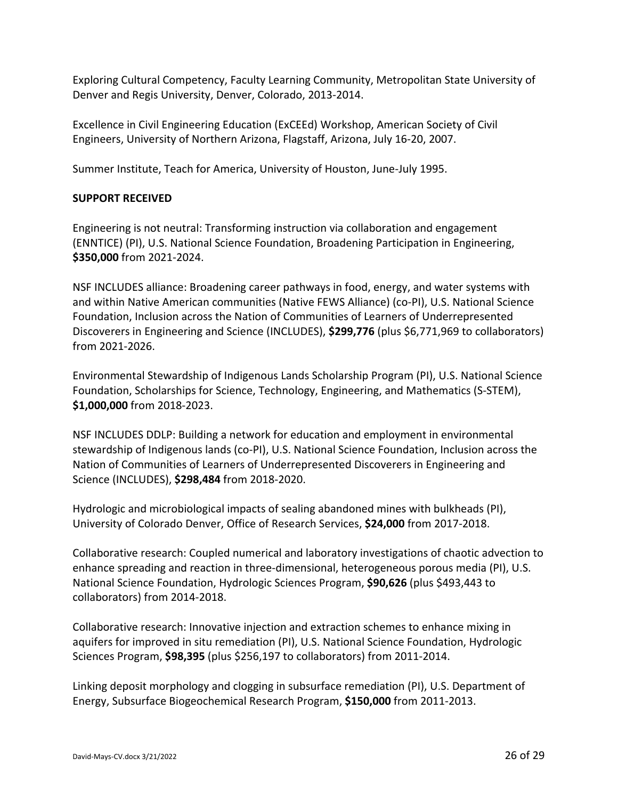Exploring Cultural Competency, Faculty Learning Community, Metropolitan State University of Denver and Regis University, Denver, Colorado, 2013‐2014.

Excellence in Civil Engineering Education (ExCEEd) Workshop, American Society of Civil Engineers, University of Northern Arizona, Flagstaff, Arizona, July 16‐20, 2007.

Summer Institute, Teach for America, University of Houston, June‐July 1995.

## **SUPPORT RECEIVED**

Engineering is not neutral: Transforming instruction via collaboration and engagement (ENNTICE) (PI), U.S. National Science Foundation, Broadening Participation in Engineering, **\$350,000** from 2021‐2024.

NSF INCLUDES alliance: Broadening career pathways in food, energy, and water systems with and within Native American communities (Native FEWS Alliance) (co‐PI), U.S. National Science Foundation, Inclusion across the Nation of Communities of Learners of Underrepresented Discoverers in Engineering and Science (INCLUDES), **\$299,776** (plus \$6,771,969 to collaborators) from 2021‐2026.

Environmental Stewardship of Indigenous Lands Scholarship Program (PI), U.S. National Science Foundation, Scholarships for Science, Technology, Engineering, and Mathematics (S‐STEM), **\$1,000,000** from 2018‐2023.

NSF INCLUDES DDLP: Building a network for education and employment in environmental stewardship of Indigenous lands (co-PI), U.S. National Science Foundation, Inclusion across the Nation of Communities of Learners of Underrepresented Discoverers in Engineering and Science (INCLUDES), **\$298,484** from 2018‐2020.

Hydrologic and microbiological impacts of sealing abandoned mines with bulkheads (PI), University of Colorado Denver, Office of Research Services, **\$24,000** from 2017‐2018.

Collaborative research: Coupled numerical and laboratory investigations of chaotic advection to enhance spreading and reaction in three-dimensional, heterogeneous porous media (PI), U.S. National Science Foundation, Hydrologic Sciences Program, **\$90,626** (plus \$493,443 to collaborators) from 2014‐2018.

Collaborative research: Innovative injection and extraction schemes to enhance mixing in aquifers for improved in situ remediation (PI), U.S. National Science Foundation, Hydrologic Sciences Program, **\$98,395** (plus \$256,197 to collaborators) from 2011‐2014.

Linking deposit morphology and clogging in subsurface remediation (PI), U.S. Department of Energy, Subsurface Biogeochemical Research Program, **\$150,000** from 2011‐2013.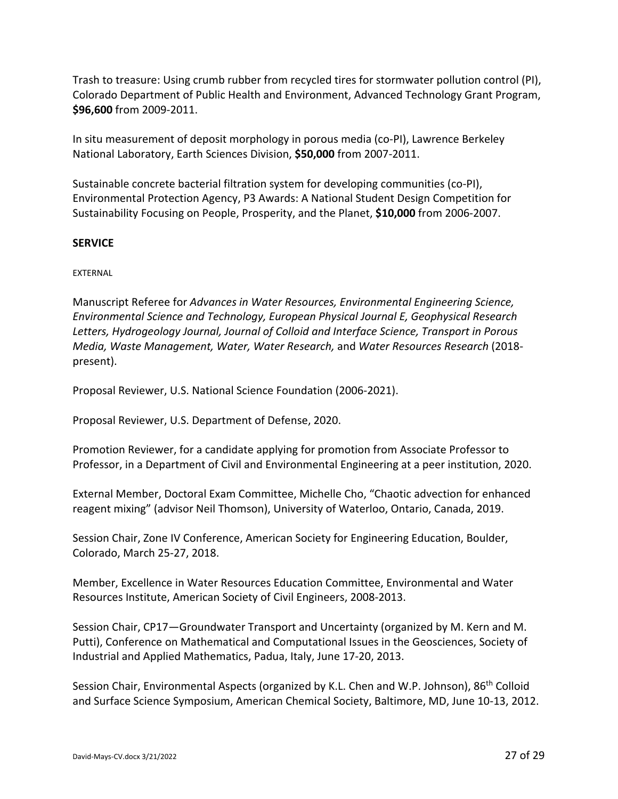Trash to treasure: Using crumb rubber from recycled tires for stormwater pollution control (PI), Colorado Department of Public Health and Environment, Advanced Technology Grant Program, **\$96,600** from 2009‐2011.

In situ measurement of deposit morphology in porous media (co‐PI), Lawrence Berkeley National Laboratory, Earth Sciences Division, **\$50,000** from 2007‐2011.

Sustainable concrete bacterial filtration system for developing communities (co‐PI), Environmental Protection Agency, P3 Awards: A National Student Design Competition for Sustainability Focusing on People, Prosperity, and the Planet, **\$10,000** from 2006‐2007.

## **SERVICE**

### EXTERNAL

Manuscript Referee for *Advances in Water Resources, Environmental Engineering Science, Environmental Science and Technology, European Physical Journal E, Geophysical Research Letters, Hydrogeology Journal, Journal of Colloid and Interface Science, Transport in Porous Media, Waste Management, Water, Water Research,* and *Water Resources Research* (2018‐ present).

Proposal Reviewer, U.S. National Science Foundation (2006‐2021).

Proposal Reviewer, U.S. Department of Defense, 2020.

Promotion Reviewer, for a candidate applying for promotion from Associate Professor to Professor, in a Department of Civil and Environmental Engineering at a peer institution, 2020.

External Member, Doctoral Exam Committee, Michelle Cho, "Chaotic advection for enhanced reagent mixing" (advisor Neil Thomson), University of Waterloo, Ontario, Canada, 2019.

Session Chair, Zone IV Conference, American Society for Engineering Education, Boulder, Colorado, March 25‐27, 2018.

Member, Excellence in Water Resources Education Committee, Environmental and Water Resources Institute, American Society of Civil Engineers, 2008‐2013.

Session Chair, CP17—Groundwater Transport and Uncertainty (organized by M. Kern and M. Putti), Conference on Mathematical and Computational Issues in the Geosciences, Society of Industrial and Applied Mathematics, Padua, Italy, June 17‐20, 2013.

Session Chair, Environmental Aspects (organized by K.L. Chen and W.P. Johnson), 86<sup>th</sup> Colloid and Surface Science Symposium, American Chemical Society, Baltimore, MD, June 10‐13, 2012.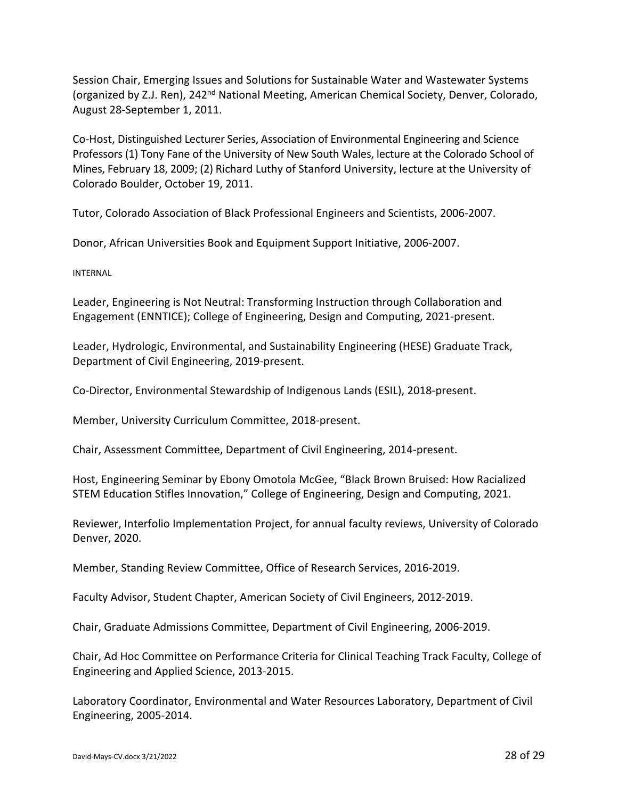Session Chair, Emerging Issues and Solutions for Sustainable Water and Wastewater Systems (organized by Z.J. Ren), 242<sup>nd</sup> National Meeting, American Chemical Society, Denver, Colorado, August 28‐September 1, 2011.

Co‐Host, Distinguished Lecturer Series, Association of Environmental Engineering and Science Professors (1) Tony Fane of the University of New South Wales, lecture at the Colorado School of Mines, February 18, 2009; (2) Richard Luthy of Stanford University, lecture at the University of Colorado Boulder, October 19, 2011.

Tutor, Colorado Association of Black Professional Engineers and Scientists, 2006‐2007.

Donor, African Universities Book and Equipment Support Initiative, 2006‐2007.

INTERNAL

Leader, Engineering is Not Neutral: Transforming Instruction through Collaboration and Engagement (ENNTICE); College of Engineering, Design and Computing, 2021‐present.

Leader, Hydrologic, Environmental, and Sustainability Engineering (HESE) Graduate Track, Department of Civil Engineering, 2019‐present.

Co‐Director, Environmental Stewardship of Indigenous Lands (ESIL), 2018‐present.

Member, University Curriculum Committee, 2018‐present.

Chair, Assessment Committee, Department of Civil Engineering, 2014‐present.

Host, Engineering Seminar by Ebony Omotola McGee, "Black Brown Bruised: How Racialized STEM Education Stifles Innovation," College of Engineering, Design and Computing, 2021.

Reviewer, Interfolio Implementation Project, for annual faculty reviews, University of Colorado Denver, 2020.

Member, Standing Review Committee, Office of Research Services, 2016‐2019.

Faculty Advisor, Student Chapter, American Society of Civil Engineers, 2012‐2019.

Chair, Graduate Admissions Committee, Department of Civil Engineering, 2006‐2019.

Chair, Ad Hoc Committee on Performance Criteria for Clinical Teaching Track Faculty, College of Engineering and Applied Science, 2013‐2015.

Laboratory Coordinator, Environmental and Water Resources Laboratory, Department of Civil Engineering, 2005‐2014.